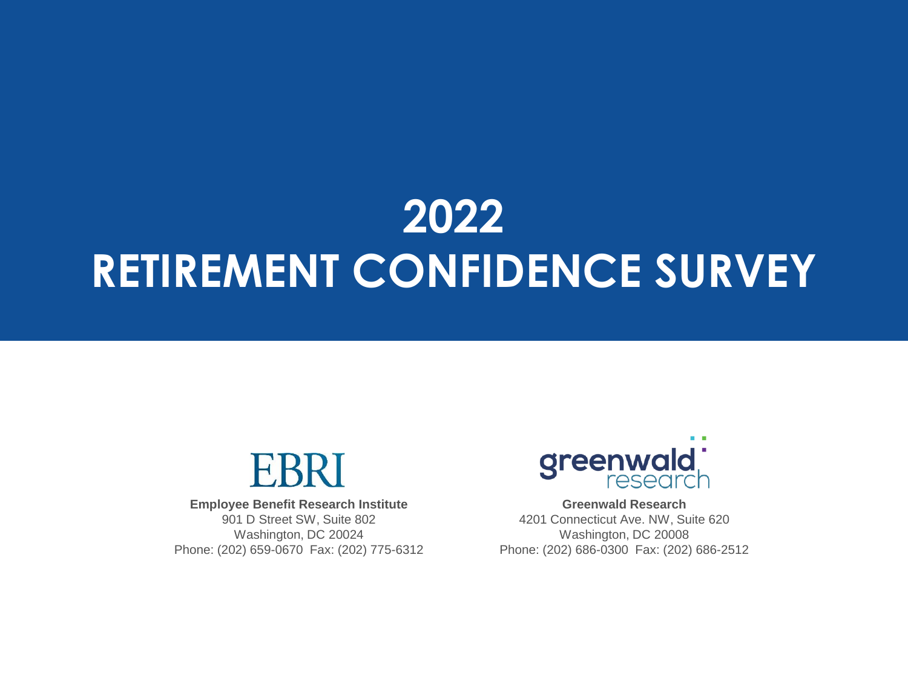# **2022 RETIREMENT CONFIDENCE SURVEY**



**Employee Benefit Research Institute** 901 D Street SW, Suite 802 Washington, DC 20024 Phone: (202) 659-0670 Fax: (202) 775-6312



**Greenwald Research** 4201 Connecticut Ave. NW, Suite 620 Washington, DC 20008 Phone: (202) 686-0300 Fax: (202) 686-2512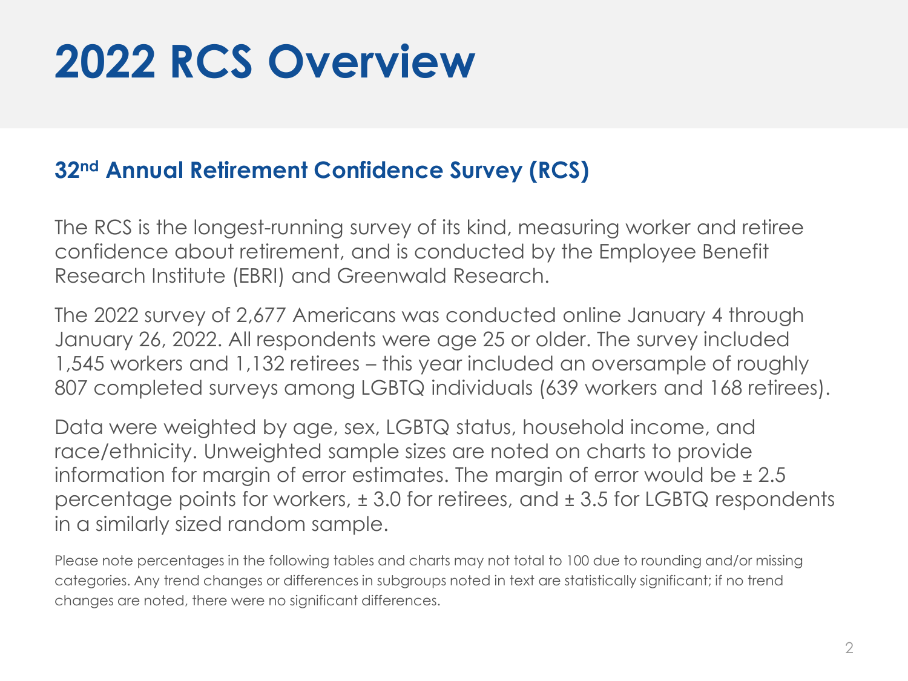# **2022 RCS Overview**

## **32nd Annual Retirement Confidence Survey (RCS)**

The RCS is the longest-running survey of its kind, measuring worker and retiree confidence about retirement, and is conducted by the Employee Benefit Research Institute (EBRI) and Greenwald Research.

The 2022 survey of 2,677 Americans was conducted online January 4 through January 26, 2022. All respondents were age 25 or older. The survey included 1,545 workers and 1,132 retirees – this year included an oversample of roughly 807 completed surveys among LGBTQ individuals (639 workers and 168 retirees).

Data were weighted by age, sex, LGBTQ status, household income, and race/ethnicity. Unweighted sample sizes are noted on charts to provide information for margin of error estimates. The margin of error would be  $\pm 2.5$ percentage points for workers, ± 3.0 for retirees, and ± 3.5 for LGBTQ respondents in a similarly sized random sample.

Please note percentages in the following tables and charts may not total to 100 due to rounding and/or missing categories. Any trend changes or differences in subgroups noted in text are statistically significant; if no trend changes are noted, there were no significant differences.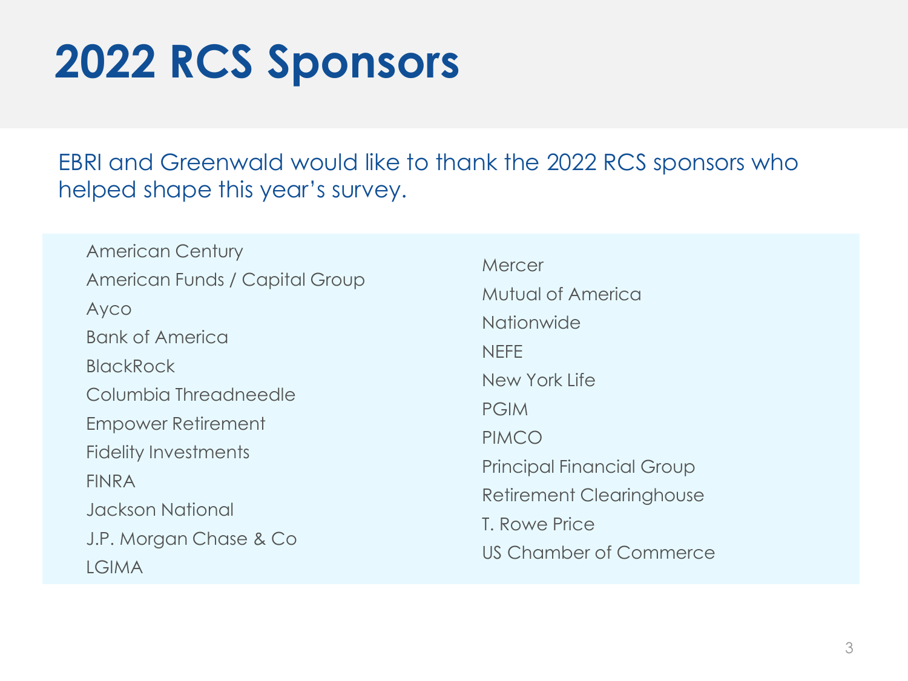# **2022 RCS Sponsors**

EBRI and Greenwald would like to thank the 2022 RCS sponsors who helped shape this year's survey.

American Century American Funds / Capital Group Ayco Bank of America **BlackRock** Columbia Threadneedle Empower Retirement Fidelity Investments FINRA Jackson National J.P. Morgan Chase & Co LGIMA

**Mercer** Mutual of America **Nationwide NFFF** New York Life PGIM PIMCO Principal Financial Group Retirement Clearinghouse T. Rowe Price US Chamber of Commerce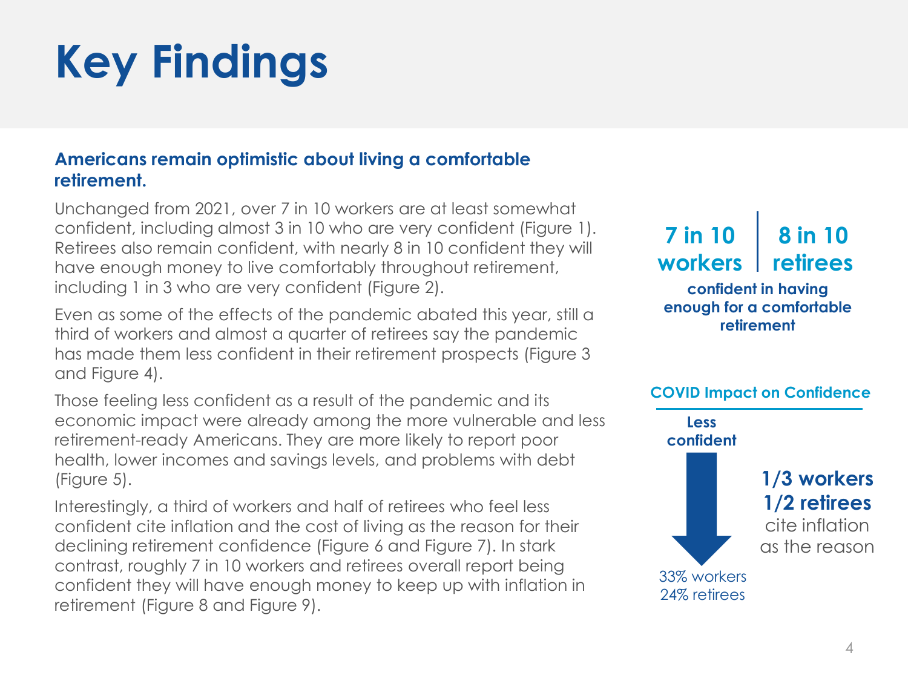## **Americans remain optimistic about living a comfortable retirement.**

Unchanged from 2021, over 7 in 10 workers are at least somewhat confident, including almost 3 in 10 who are very confident (Figure 1). Retirees also remain confident, with nearly 8 in 10 confident they will have enough money to live comfortably throughout retirement, including 1 in 3 who are very confident (Figure 2).

Even as some of the effects of the pandemic abated this year, still a third of workers and almost a quarter of retirees say the pandemic has made them less confident in their retirement prospects (Figure 3 and Figure 4).

Those feeling less confident as a result of the pandemic and its economic impact were already among the more vulnerable and less retirement-ready Americans. They are more likely to report poor health, lower incomes and savings levels, and problems with debt (Figure 5).

Interestingly, a third of workers and half of retirees who feel less confident cite inflation and the cost of living as the reason for their declining retirement confidence (Figure 6 and Figure 7). In stark contrast, roughly 7 in 10 workers and retirees overall report being confident they will have enough money to keep up with inflation in retirement (Figure 8 and Figure 9).

#### **confident in having enough for a comfortable retirement 7 in 10 workers 8 in 10 retirees**

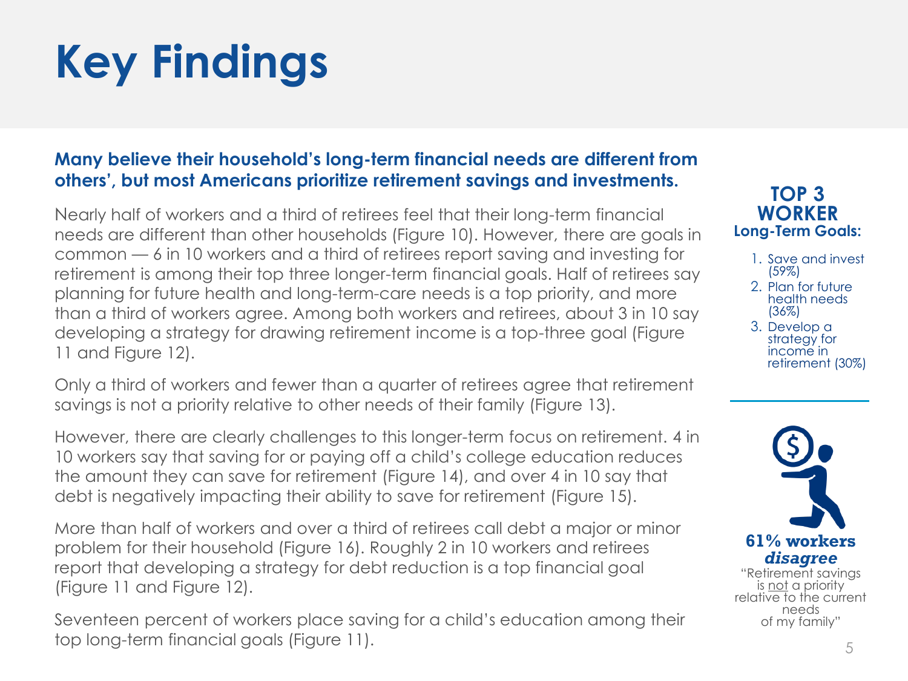## **Many believe their household's long-term financial needs are different from others', but most Americans prioritize retirement savings and investments.**

Nearly half of workers and a third of retirees feel that their long-term financial needs are different than other households (Figure 10). However, there are goals in common — 6 in 10 workers and a third of retirees report saving and investing for retirement is among their top three longer-term financial goals. Half of retirees say planning for future health and long-term-care needs is a top priority, and more than a third of workers agree. Among both workers and retirees, about 3 in 10 say developing a strategy for drawing retirement income is a top-three goal (Figure 11 and Figure 12).

Only a third of workers and fewer than a quarter of retirees agree that retirement savings is not a priority relative to other needs of their family (Figure 13).

However, there are clearly challenges to this longer-term focus on retirement. 4 in 10 workers say that saving for or paying off a child's college education reduces the amount they can save for retirement (Figure 14), and over 4 in 10 say that debt is negatively impacting their ability to save for retirement (Figure 15).

More than half of workers and over a third of retirees call debt a major or minor problem for their household (Figure 16). Roughly 2 in 10 workers and retirees report that developing a strategy for debt reduction is a top financial goal (Figure 11 and Figure 12).

Seventeen percent of workers place saving for a child's education among their top long-term financial goals (Figure 11).  $\frac{5}{5}$ 

### **TOP 3 WORKER Long-Term Goals:**

- 1. Save and invest (59%)
- 2. Plan for future health needs (36%)
- 3. Develop a strategy for income in retirement (30%)

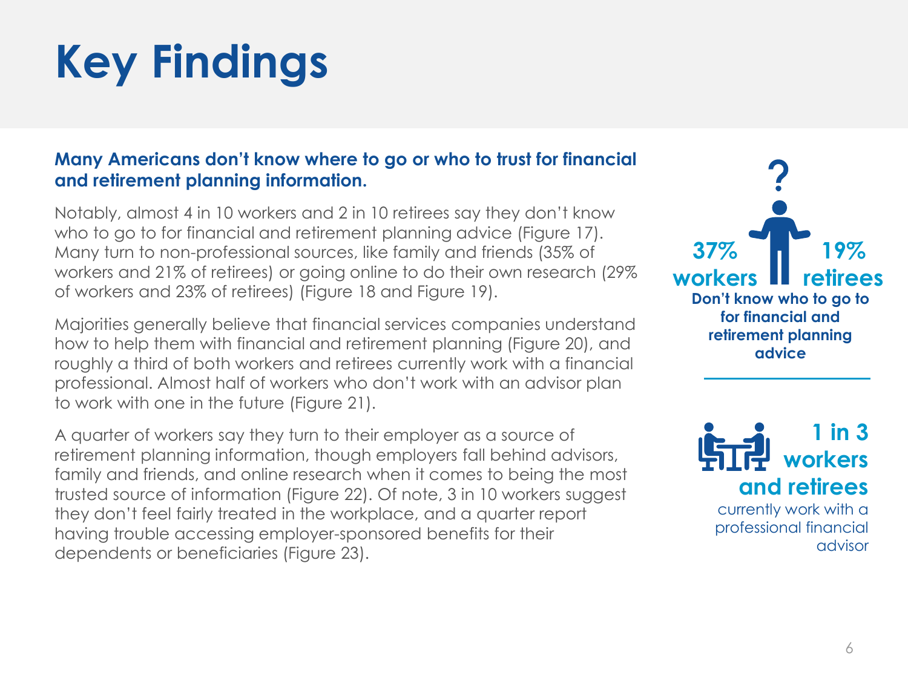### **Many Americans don't know where to go or who to trust for financial and retirement planning information.**

Notably, almost 4 in 10 workers and 2 in 10 retirees say they don't know who to go to for financial and retirement planning advice (Figure 17). Many turn to non-professional sources, like family and friends (35% of workers and 21% of retirees) or going online to do their own research (29% of workers and 23% of retirees) (Figure 18 and Figure 19).

Majorities generally believe that financial services companies understand how to help them with financial and retirement planning (Figure 20), and roughly a third of both workers and retirees currently work with a financial professional. Almost half of workers who don't work with an advisor plan to work with one in the future (Figure 21).

A quarter of workers say they turn to their employer as a source of retirement planning information, though employers fall behind advisors, family and friends, and online research when it comes to being the most trusted source of information (Figure 22). Of note, 3 in 10 workers suggest they don't feel fairly treated in the workplace, and a quarter report having trouble accessing employer-sponsored benefits for their dependents or beneficiaries (Figure 23).



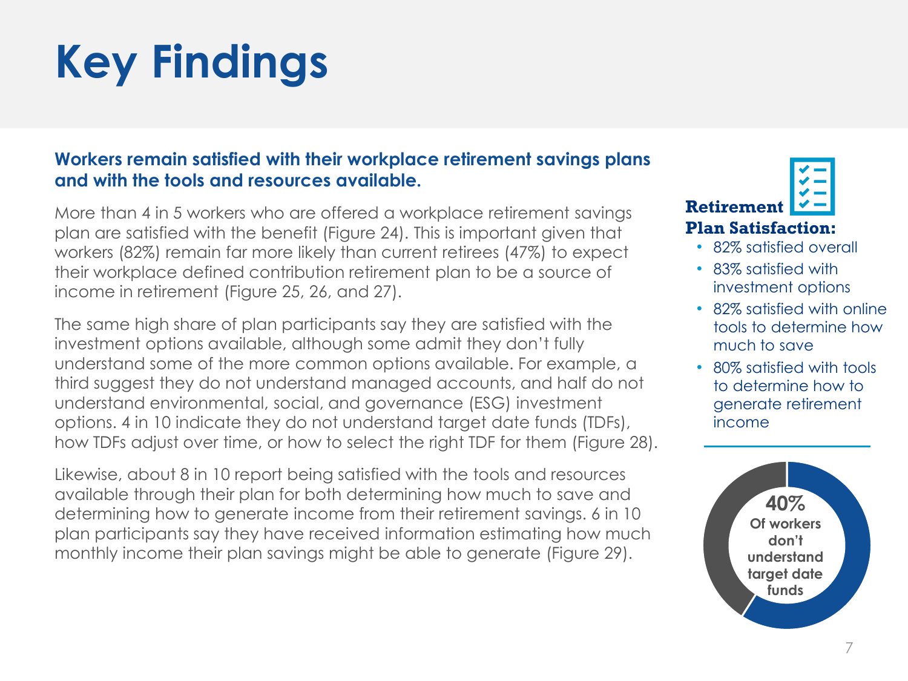### **Workers remain satisfied with their workplace retirement savings plans and with the tools and resources available.**

More than 4 in 5 workers who are offered a workplace retirement savings plan are satisfied with the benefit (Figure 24). This is important given that workers (82%) remain far more likely than current retirees (47%) to expect their workplace defined contribution retirement plan to be a source of income in retirement (Figure 25, 26, and 27).

The same high share of plan participants say they are satisfied with the investment options available, although some admit they don't fully understand some of the more common options available. For example, a third suggest they do not understand managed accounts, and half do not understand environmental, social, and governance (ESG) investment options. 4 in 10 indicate they do not understand target date funds (TDFs), how TDFs adjust over time, or how to select the right TDF for them (Figure 28).

Likewise, about 8 in 10 report being satisfied with the tools and resources available through their plan for both determining how much to save and determining how to generate income from their retirement savings. 6 in 10 plan participants say they have received information estimating how much monthly income their plan savings might be able to generate (Figure 29).

**Retirement** 

### **Plan Satisfaction:**

- 82% satisfied overall
- 83% satisfied with investment options
- 82% satisfied with online tools to determine how much to save
- 80% satisfied with tools to determine how to generate retirement income

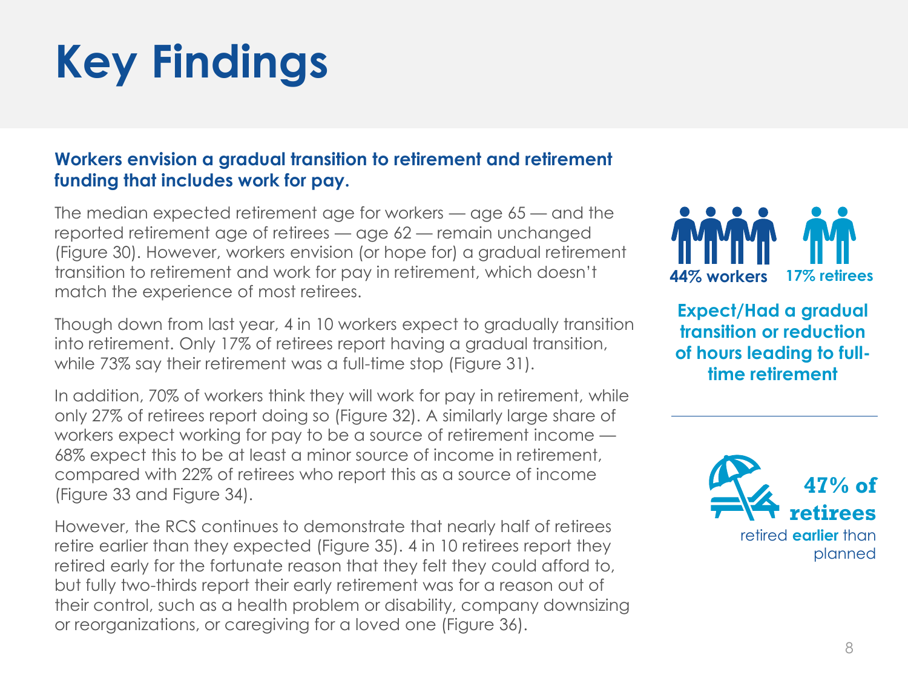### **Workers envision a gradual transition to retirement and retirement funding that includes work for pay.**

The median expected retirement age for workers — age 65 — and the reported retirement age of retirees — age 62 — remain unchanged (Figure 30). However, workers envision (or hope for) a gradual retirement transition to retirement and work for pay in retirement, which doesn't match the experience of most retirees.

Though down from last year, 4 in 10 workers expect to gradually transition into retirement. Only 17% of retirees report having a gradual transition, while 73% say their retirement was a full-time stop (Figure 31).

In addition, 70% of workers think they will work for pay in retirement, while only 27% of retirees report doing so (Figure 32). A similarly large share of workers expect working for pay to be a source of retirement income — 68% expect this to be at least a minor source of income in retirement, compared with 22% of retirees who report this as a source of income (Figure 33 and Figure 34).

However, the RCS continues to demonstrate that nearly half of retirees retire earlier than they expected (Figure 35). 4 in 10 retirees report they retired early for the fortunate reason that they felt they could afford to, but fully two-thirds report their early retirement was for a reason out of their control, such as a health problem or disability, company downsizing or reorganizations, or caregiving for a loved one (Figure 36).



**Expect/Had a gradual transition or reduction of hours leading to fulltime retirement**

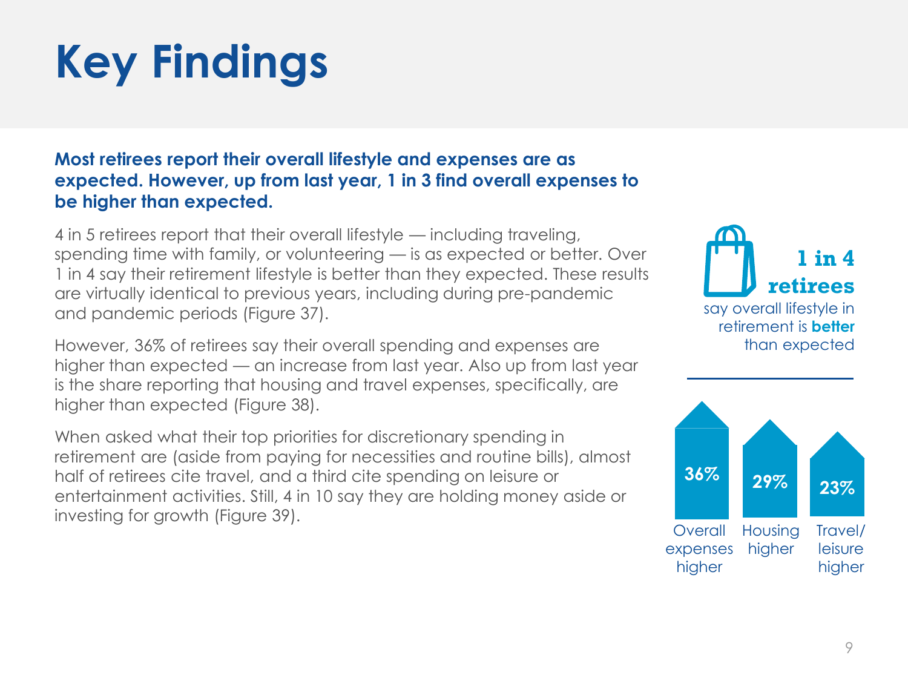## **Most retirees report their overall lifestyle and expenses are as expected. However, up from last year, 1 in 3 find overall expenses to be higher than expected.**

4 in 5 retirees report that their overall lifestyle — including traveling, spending time with family, or volunteering — is as expected or better. Over 1 in 4 say their retirement lifestyle is better than they expected. These results are virtually identical to previous years, including during pre-pandemic and pandemic periods (Figure 37).

However, 36% of retirees say their overall spending and expenses are higher than expected — an increase from last year. Also up from last year is the share reporting that housing and travel expenses, specifically, are higher than expected (Figure 38).

When asked what their top priorities for discretionary spending in retirement are (aside from paying for necessities and routine bills), almost half of retirees cite travel, and a third cite spending on leisure or entertainment activities. Still, 4 in 10 say they are holding money aside or investing for growth (Figure 39).



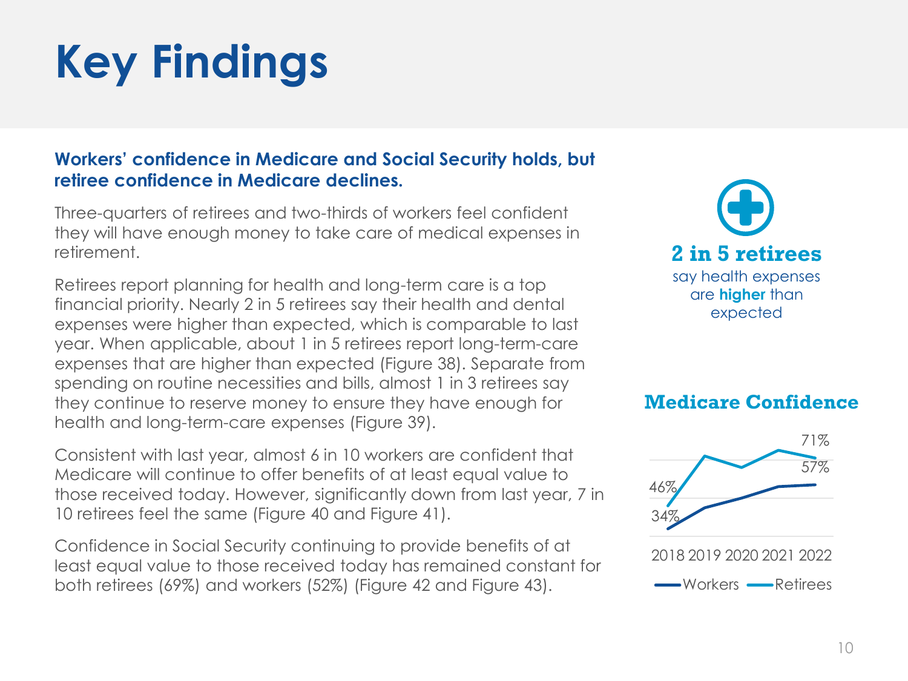### **Workers' confidence in Medicare and Social Security holds, but retiree confidence in Medicare declines.**

Three-quarters of retirees and two-thirds of workers feel confident they will have enough money to take care of medical expenses in retirement.

Retirees report planning for health and long-term care is a top financial priority. Nearly 2 in 5 retirees say their health and dental expenses were higher than expected, which is comparable to last year. When applicable, about 1 in 5 retirees report long-term-care expenses that are higher than expected (Figure 38). Separate from spending on routine necessities and bills, almost 1 in 3 retirees say they continue to reserve money to ensure they have enough for health and long-term-care expenses (Figure 39).

Consistent with last year, almost 6 in 10 workers are confident that Medicare will continue to offer benefits of at least equal value to those received today. However, significantly down from last year, 7 in 10 retirees feel the same (Figure 40 and Figure 41).

Confidence in Social Security continuing to provide benefits of at least equal value to those received today has remained constant for both retirees (69%) and workers (52%) (Figure 42 and Figure 43).



### **Medicare Confidence**

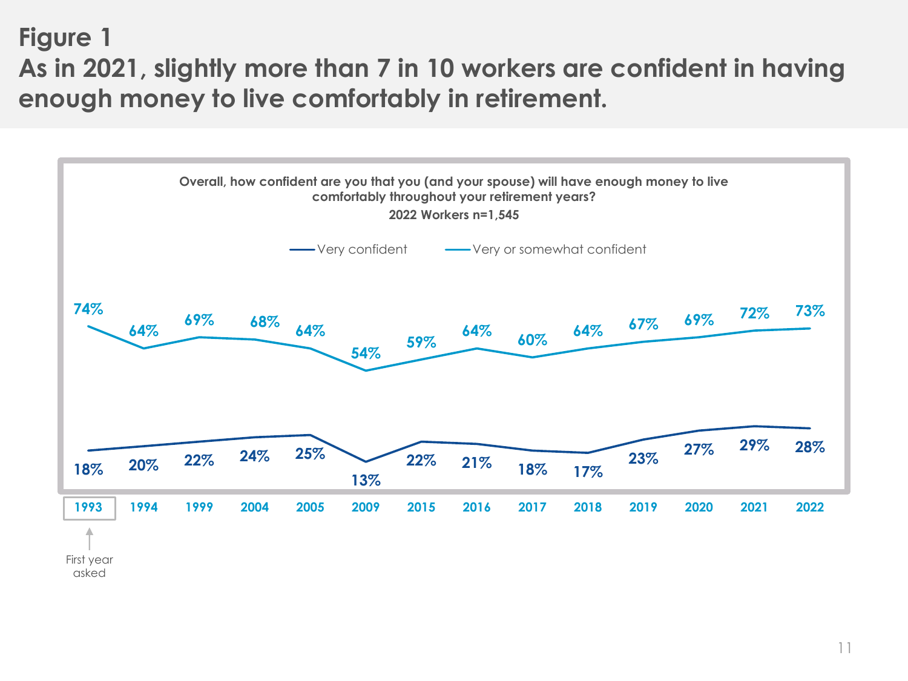## **Figure 1 As in 2021, slightly more than 7 in 10 workers are confident in having enough money to live comfortably in retirement.**

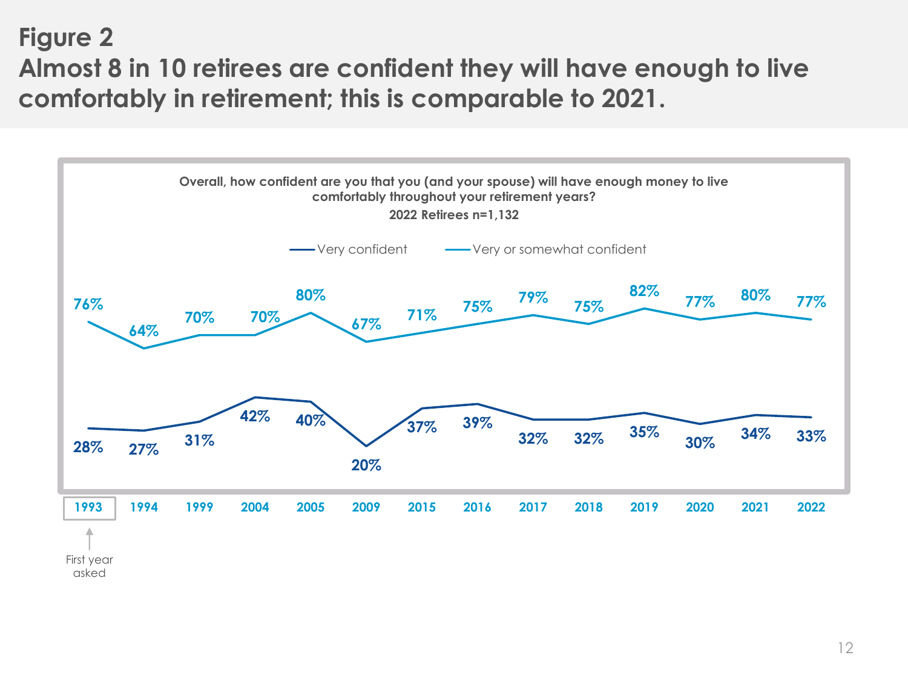## **Figure 2 Almost 8 in 10 retirees are confident they will have enough to live comfortably in retirement; this is comparable to 2021.**

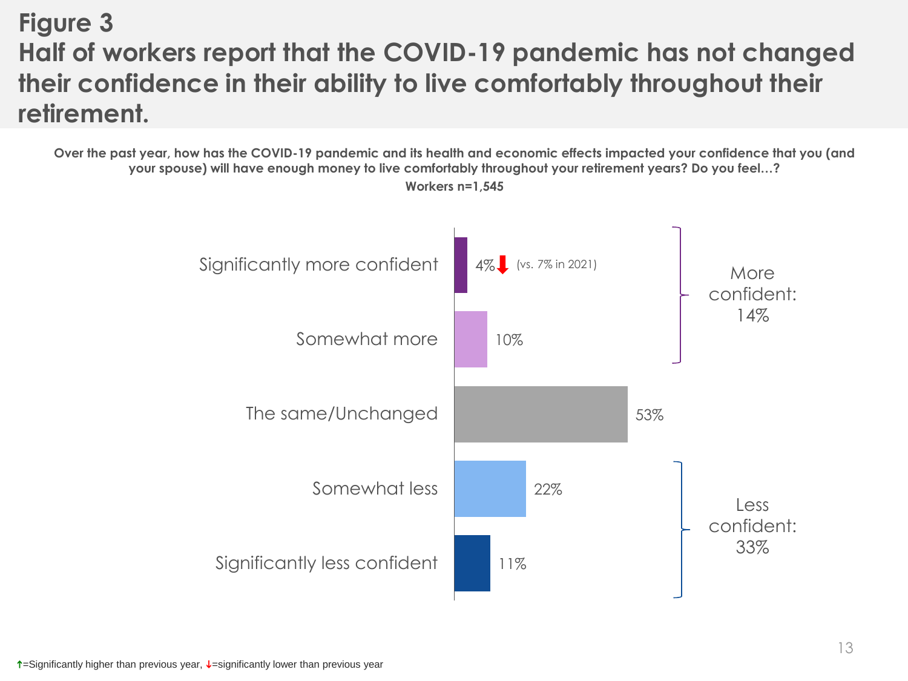# **Figure 3 Half of workers report that the COVID-19 pandemic has not changed their confidence in their ability to live comfortably throughout their retirement.**

**Over the past year, how has the COVID-19 pandemic and its health and economic effects impacted your confidence that you (and your spouse) will have enough money to live comfortably throughout your retirement years? Do you feel…?**



**Workers n=1,545**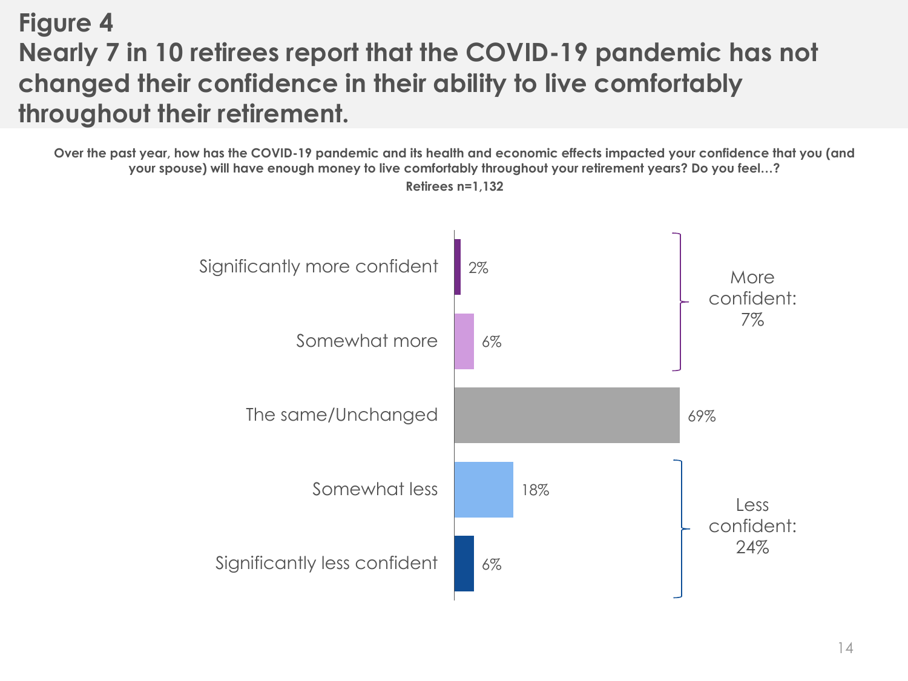# **Figure 4 Nearly 7 in 10 retirees report that the COVID-19 pandemic has not changed their confidence in their ability to live comfortably throughout their retirement.**

**Over the past year, how has the COVID-19 pandemic and its health and economic effects impacted your confidence that you (and your spouse) will have enough money to live comfortably throughout your retirement years? Do you feel…?**



**Retirees n=1,132**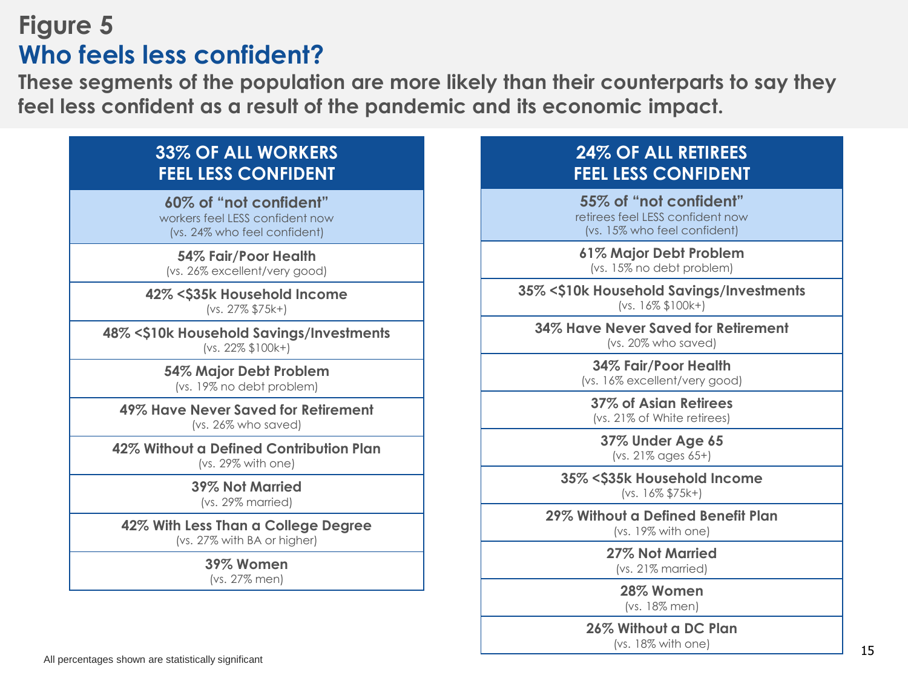## **Figure 5 Who feels less confident?**

**These segments of the population are more likely than their counterparts to say they feel less confident as a result of the pandemic and its economic impact.**

## **33% OF ALL WORKERS FEEL LESS CONFIDENT**

**60% of "not confident"**  workers feel LESS confident now (vs. 24% who feel confident)

**54% Fair/Poor Health** (vs. 26% excellent/very good)

**42% <\$35k Household Income** (vs. 27% \$75k+)

**48% <\$10k Household Savings/Investments** (vs. 22% \$100k+)

> **54% Major Debt Problem** (vs. 19% no debt problem)

**49% Have Never Saved for Retirement** (vs. 26% who saved)

**42% Without a Defined Contribution Plan** (vs. 29% with one)

**39% Not Married**

(vs. 29% married)

**42% With Less Than a College Degree**

(vs. 27% with BA or higher)

**39% Women**

(vs. 27% men)

### **24% OF ALL RETIREES FEEL LESS CONFIDENT**

**55% of "not confident"**  retirees feel LESS confident now (vs. 15% who feel confident)

**61% Major Debt Problem** (vs. 15% no debt problem)

**35% <\$10k Household Savings/Investments** (vs. 16% \$100k+)

**34% Have Never Saved for Retirement** (vs. 20% who saved)

> **34% Fair/Poor Health** (vs. 16% excellent/very good)

**37% of Asian Retirees** (vs. 21% of White retirees)

**37% Under Age 65** (vs. 21% ages 65+)

**35% <\$35k Household Income** (vs. 16% \$75k+)

**29% Without a Defined Benefit Plan** (vs. 19% with one)

> **27% Not Married** (vs. 21% married)

> > **28% Women** (vs. 18% men)

**26% Without a DC Plan** (vs. 18% with one)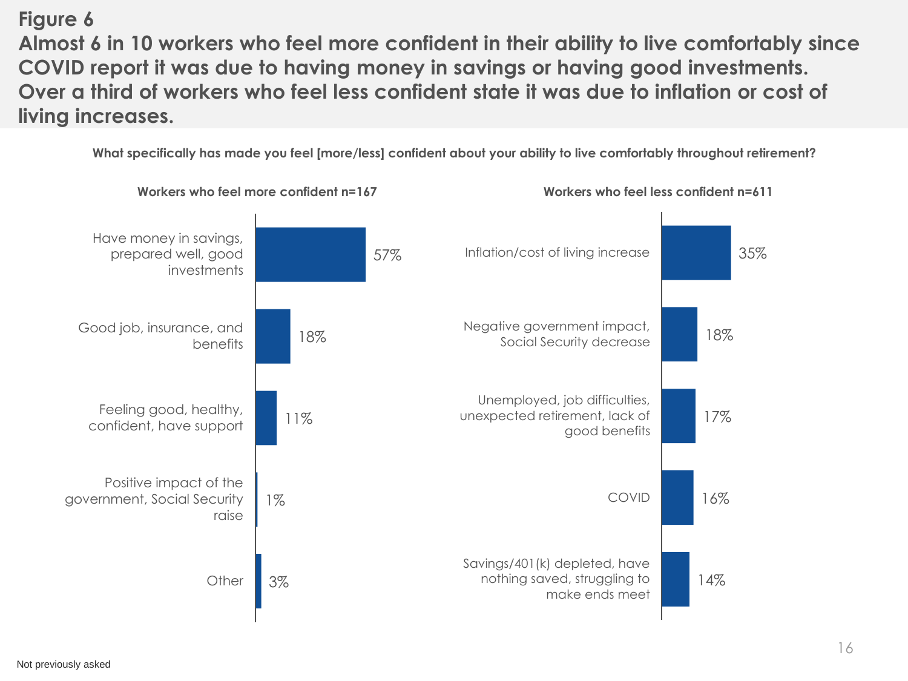## **Figure 6**

**Almost 6 in 10 workers who feel more confident in their ability to live comfortably since COVID report it was due to having money in savings or having good investments. Over a third of workers who feel less confident state it was due to inflation or cost of living increases.**

**What specifically has made you feel [more/less] confident about your ability to live comfortably throughout retirement?**

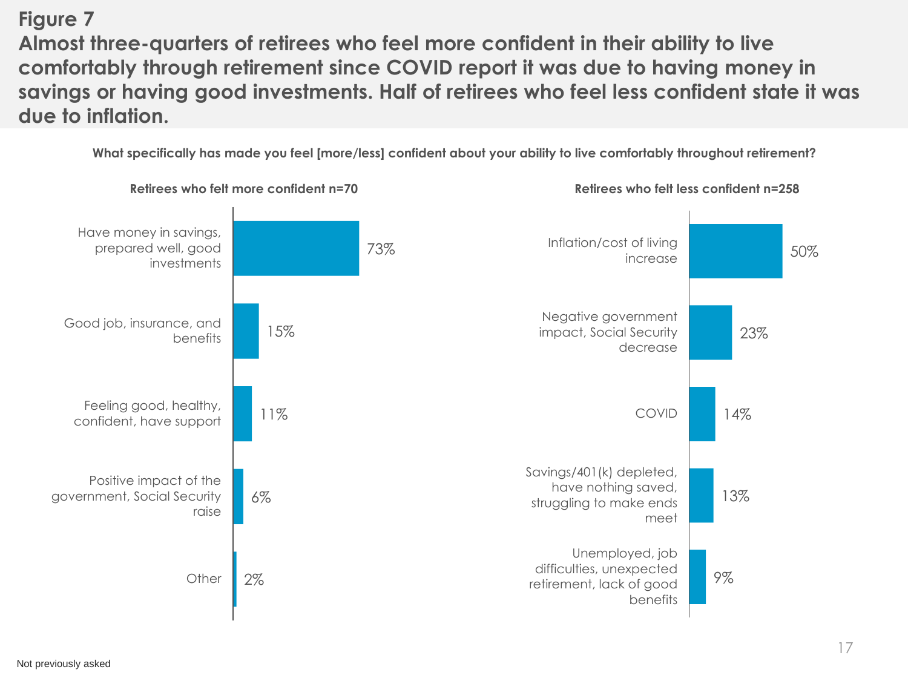**Figure 7 Almost three-quarters of retirees who feel more confident in their ability to live comfortably through retirement since COVID report it was due to having money in savings or having good investments. Half of retirees who feel less confident state it was due to inflation.**

**What specifically has made you feel [more/less] confident about your ability to live comfortably throughout retirement?**



Not previously asked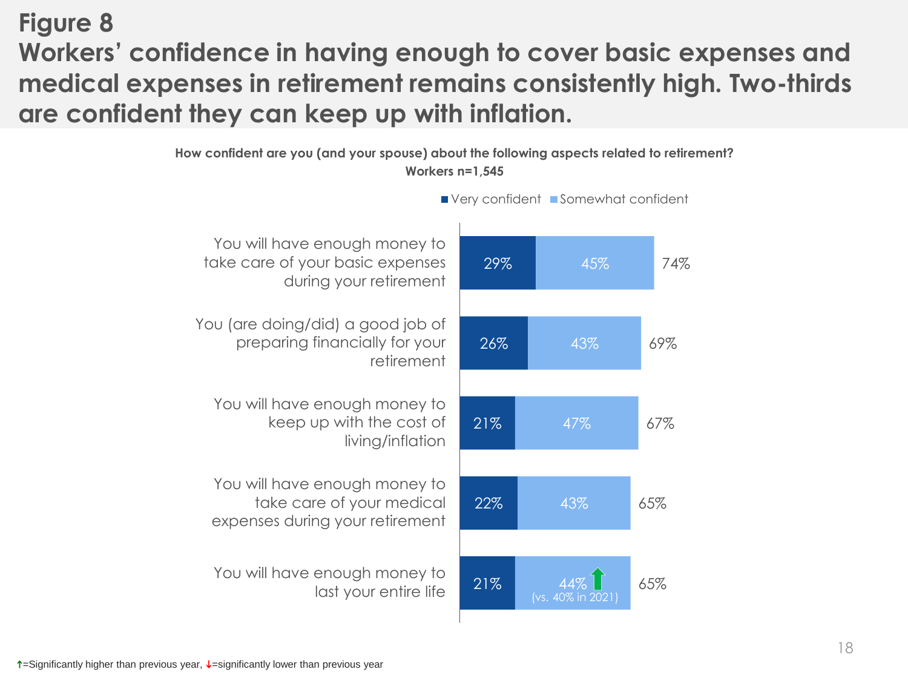# **Figure 8 Workers' confidence in having enough to cover basic expenses and medical expenses in retirement remains consistently high. Two-thirds are confident they can keep up with inflation.**



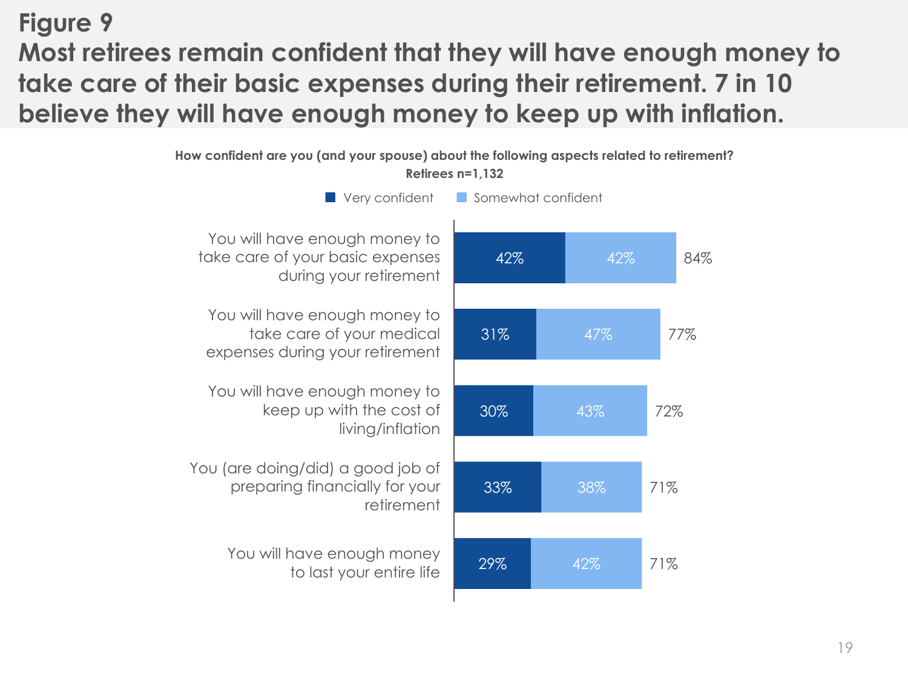## **Figure 9 Most retirees remain confident that they will have enough money to take care of their basic expenses during their retirement. 7 in 10 believe they will have enough money to keep up with inflation.**

**How confident are you (and your spouse) about the following aspects related to retirement?** 

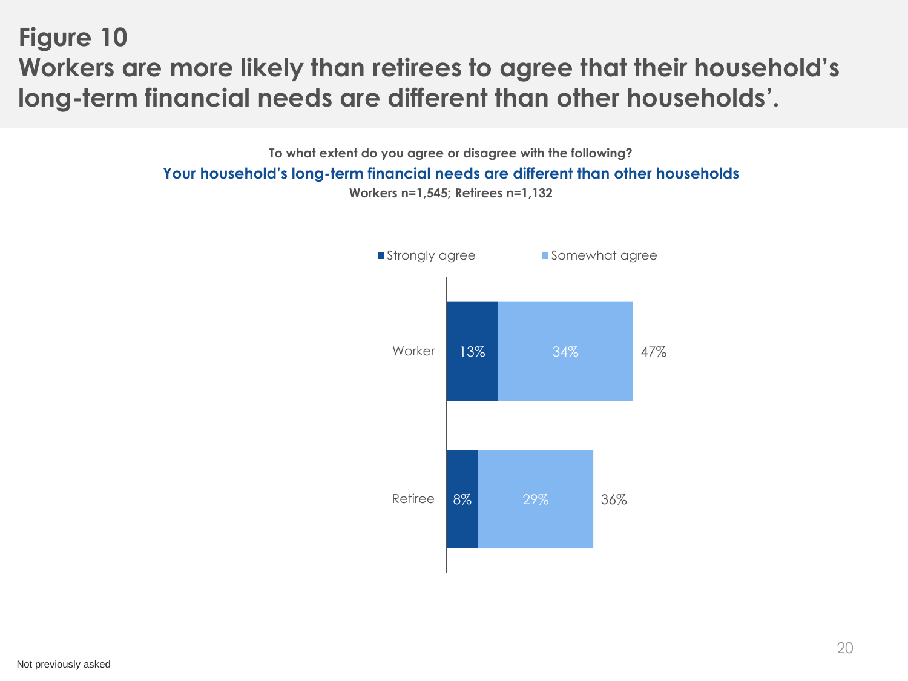**Figure 10 Workers are more likely than retirees to agree that their household's long-term financial needs are different than other households'.** 

> **To what extent do you agree or disagree with the following? Your household's long-term financial needs are different than other households Workers n=1,545; Retirees n=1,132**

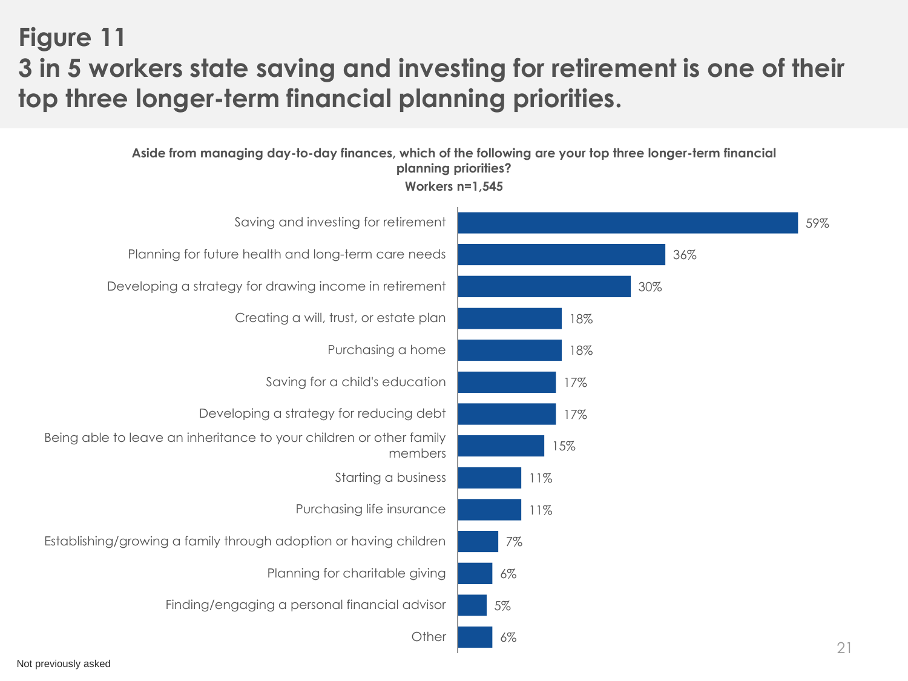## **Figure 11 3 in 5 workers state saving and investing for retirement is one of their top three longer-term financial planning priorities.**

**Aside from managing day-to-day finances, which of the following are your top three longer-term financial planning priorities?**



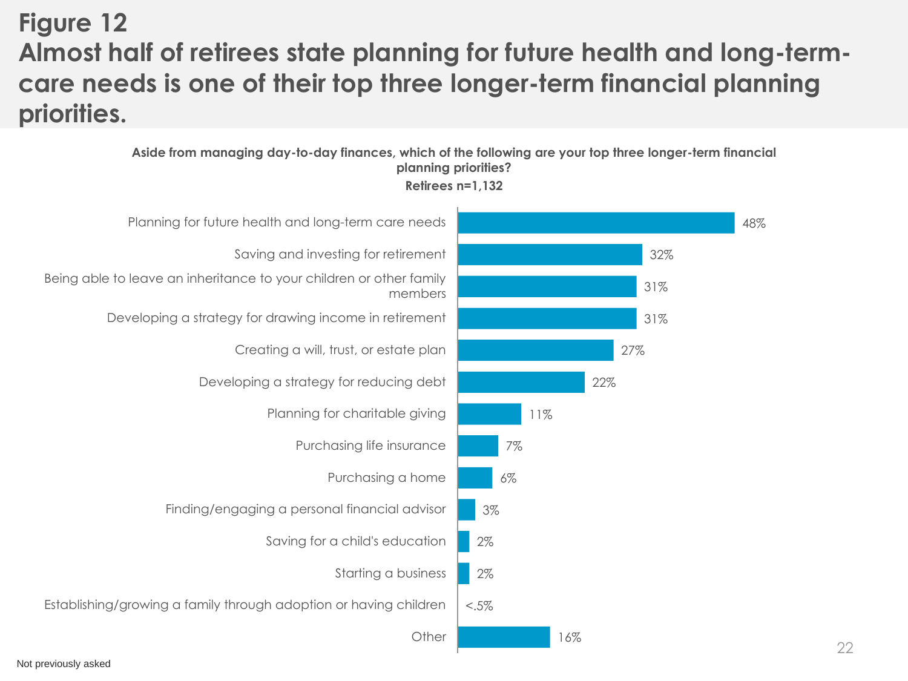# **Figure 12 Almost half of retirees state planning for future health and long-termcare needs is one of their top three longer-term financial planning priorities.**

#### **Aside from managing day-to-day finances, which of the following are your top three longer-term financial planning priorities?**



**Retirees n=1,132**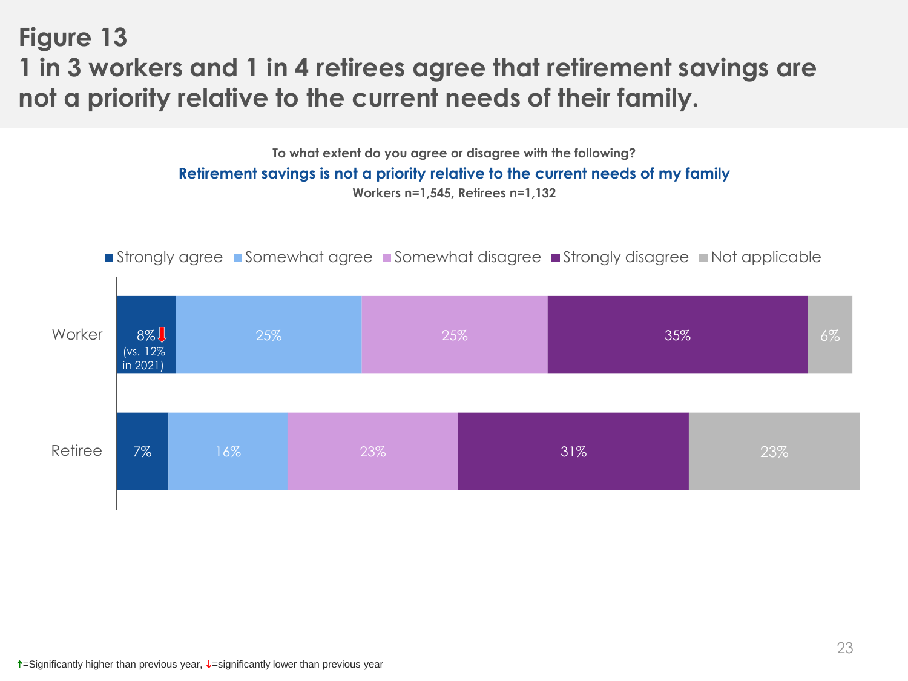**Figure 13 1 in 3 workers and 1 in 4 retirees agree that retirement savings are not a priority relative to the current needs of their family.**

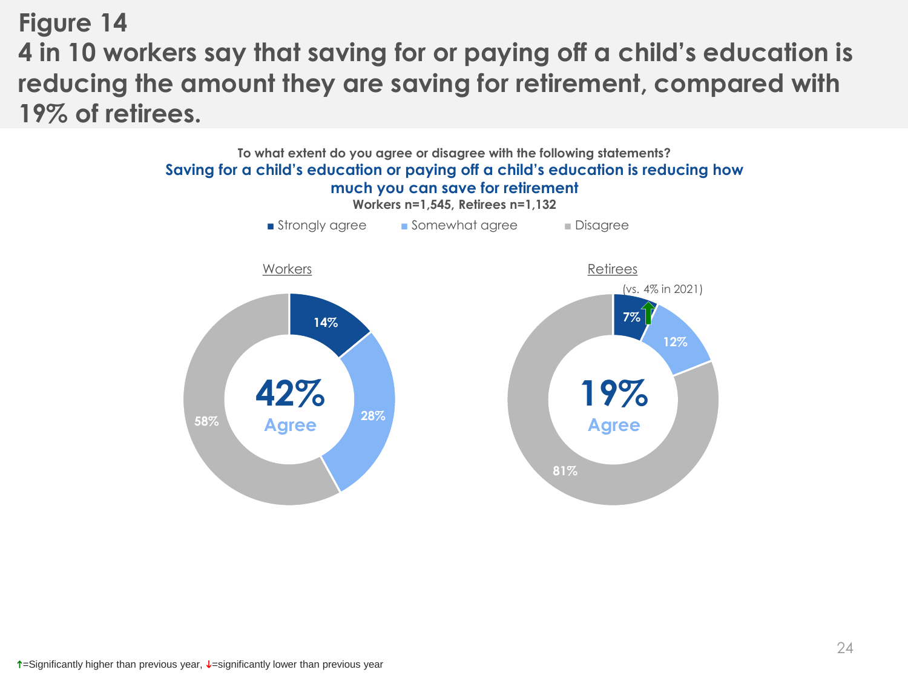## **Figure 14 4 in 10 workers say that saving for or paying off a child's education is reducing the amount they are saving for retirement, compared with 19% of retirees.**

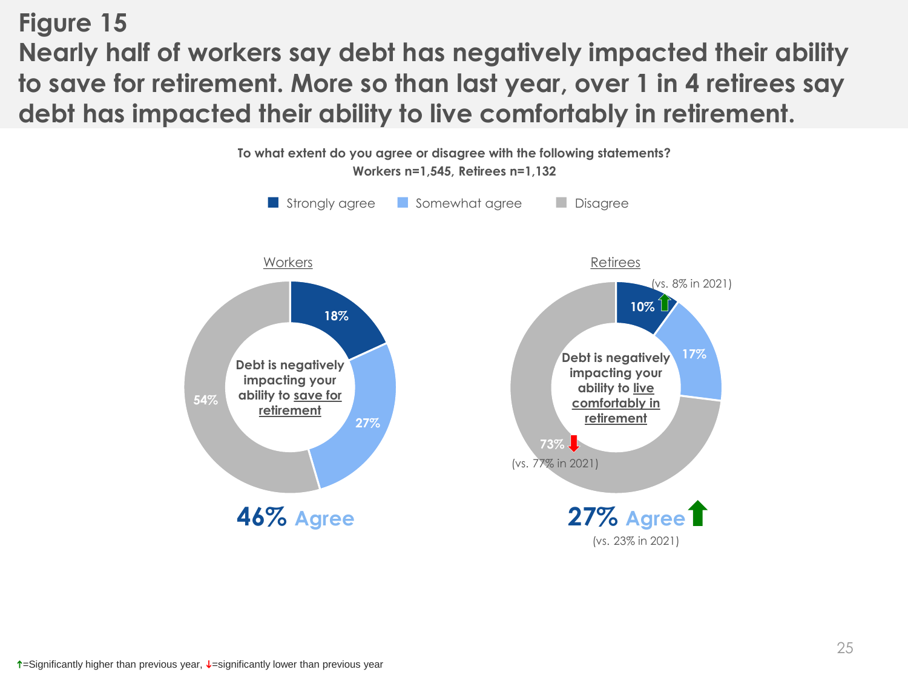**Figure 15 Nearly half of workers say debt has negatively impacted their ability to save for retirement. More so than last year, over 1 in 4 retirees say debt has impacted their ability to live comfortably in retirement.** 

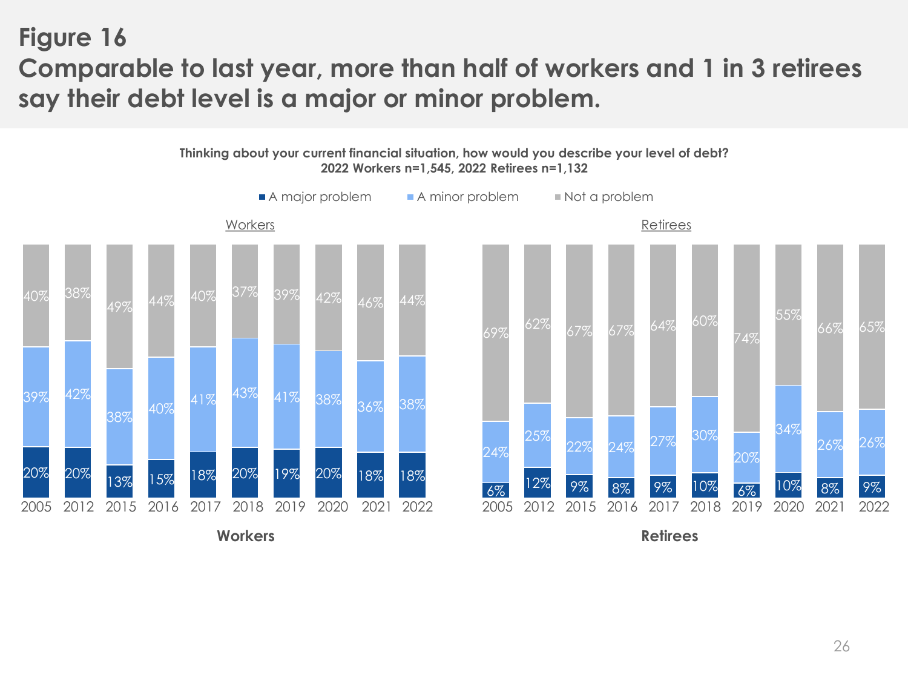## **Figure 16 Comparable to last year, more than half of workers and 1 in 3 retirees say their debt level is a major or minor problem.**

**Thinking about your current financial situation, how would you describe your level of debt? 2022 Workers n=1,545, 2022 Retirees n=1,132**

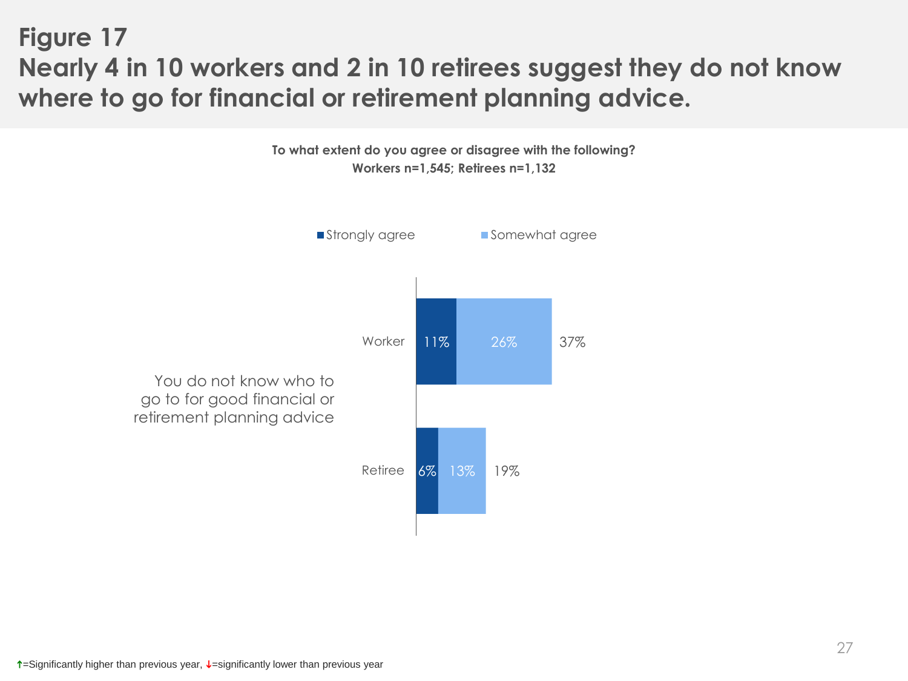## **Figure 17 Nearly 4 in 10 workers and 2 in 10 retirees suggest they do not know where to go for financial or retirement planning advice.**

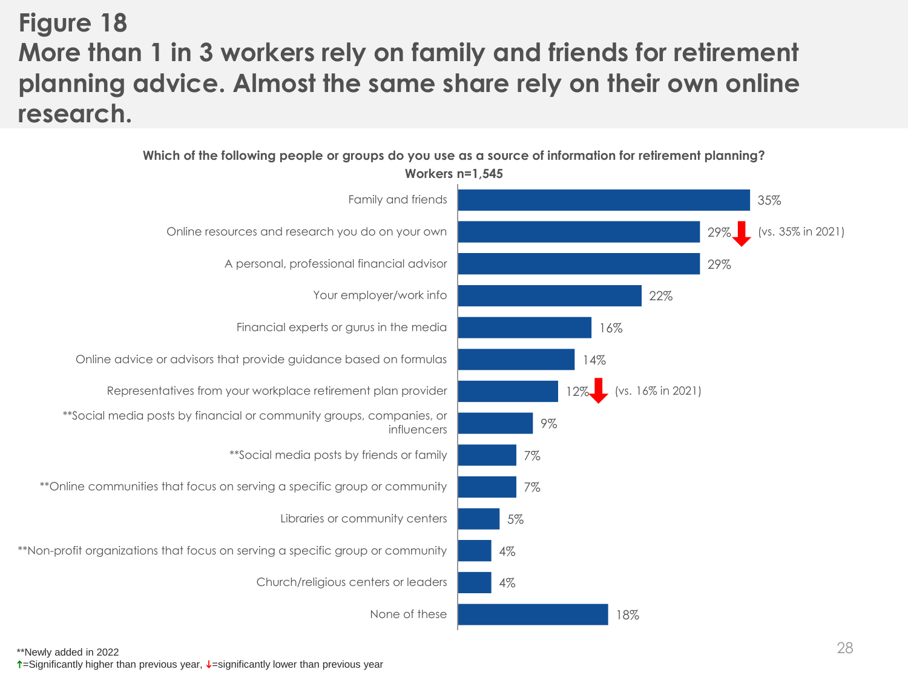# **Figure 18 More than 1 in 3 workers rely on family and friends for retirement planning advice. Almost the same share rely on their own online research.**

**Which of the following people or groups do you use as a source of information for retirement planning?**

**Workers n=1,545**

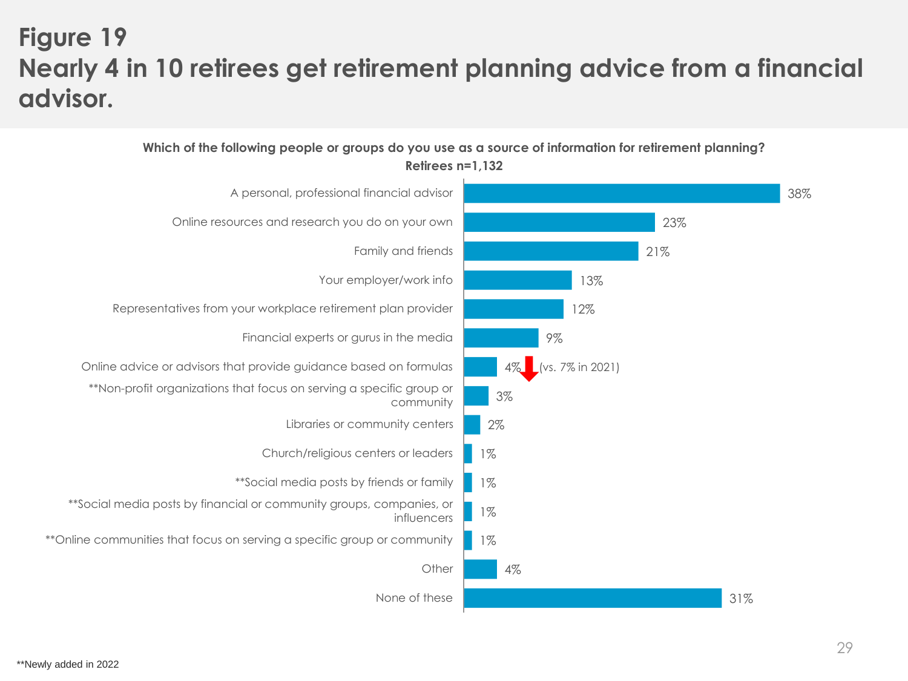# **Figure 19 Nearly 4 in 10 retirees get retirement planning advice from a financial advisor.**

#### 38% 23% 21% 13% 12% 9% 4% 3% 2% 1% 1% 1% 1% 4% 31% A personal, professional financial advisor Online resources and research you do on your own Family and friends Your employer/work info Representatives from your workplace retirement plan provider Financial experts or gurus in the media Online advice or advisors that provide guidance based on formulas \*\*Non-profit organizations that focus on serving a specific group or community Libraries or community centers Church/religious centers or leaders \*\*Social media posts by friends or family \*\*Social media posts by financial or community groups, companies, or influencers \*\*Online communities that focus on serving a specific group or community **Other** None of these (vs. 7% in 2021)

#### **Which of the following people or groups do you use as a source of information for retirement planning? Retirees n=1,132**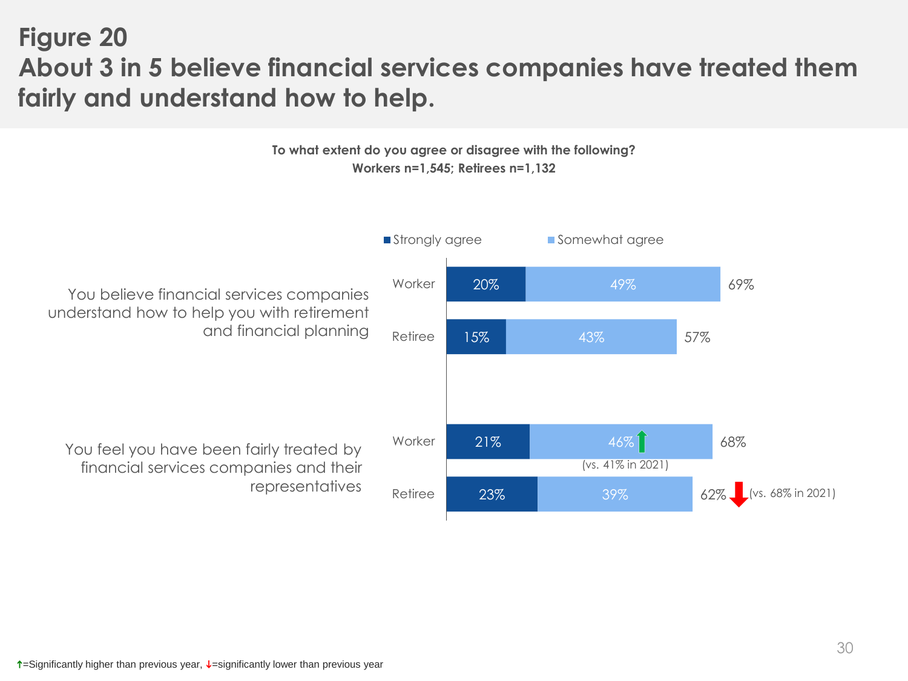## **Figure 20 About 3 in 5 believe financial services companies have treated them fairly and understand how to help.**

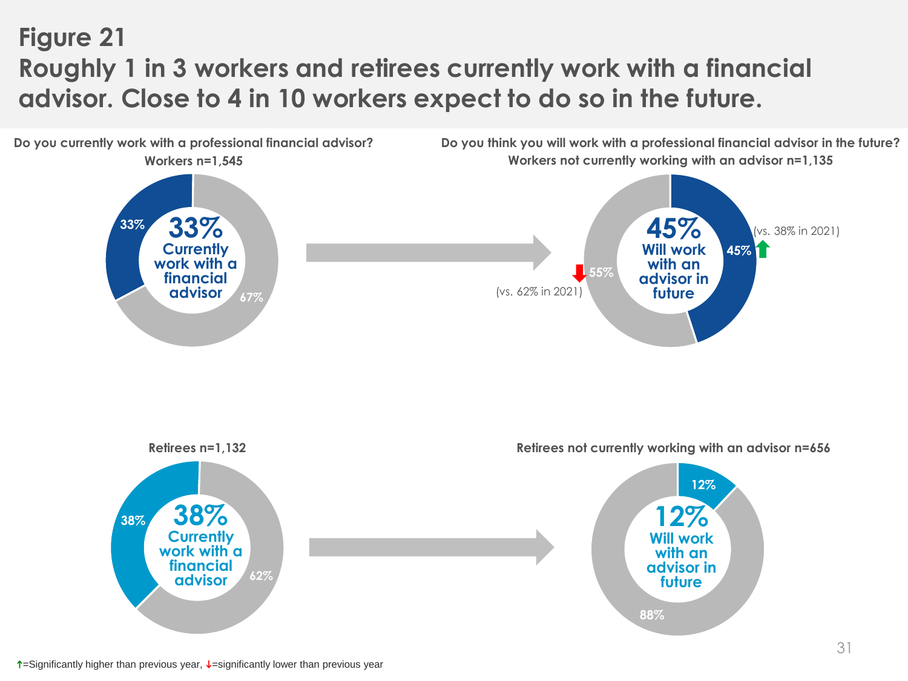# **Figure 21 Roughly 1 in 3 workers and retirees currently work with a financial advisor. Close to 4 in 10 workers expect to do so in the future.**

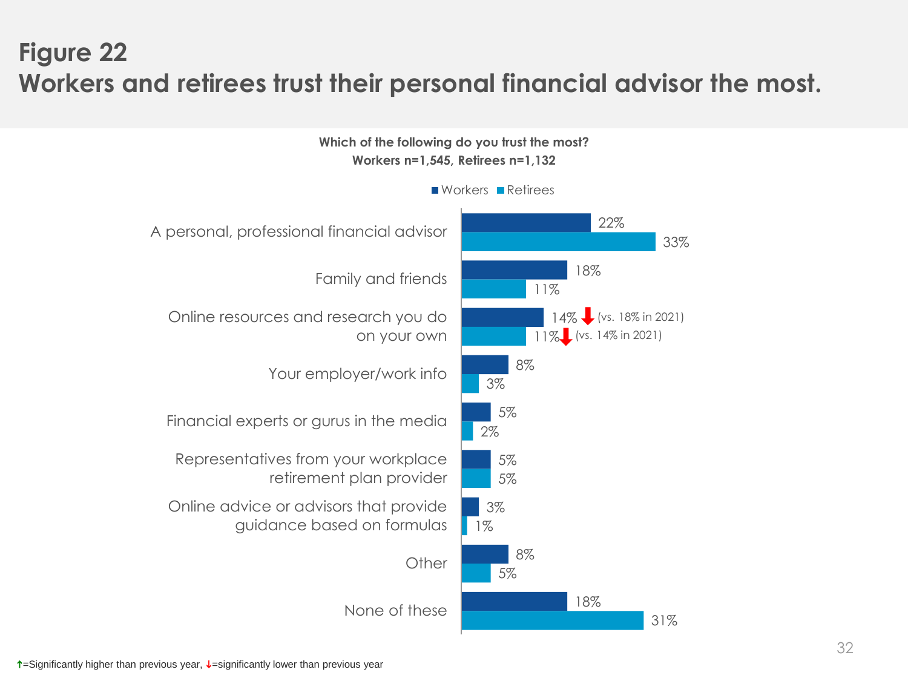## **Figure 22 Workers and retirees trust their personal financial advisor the most.**

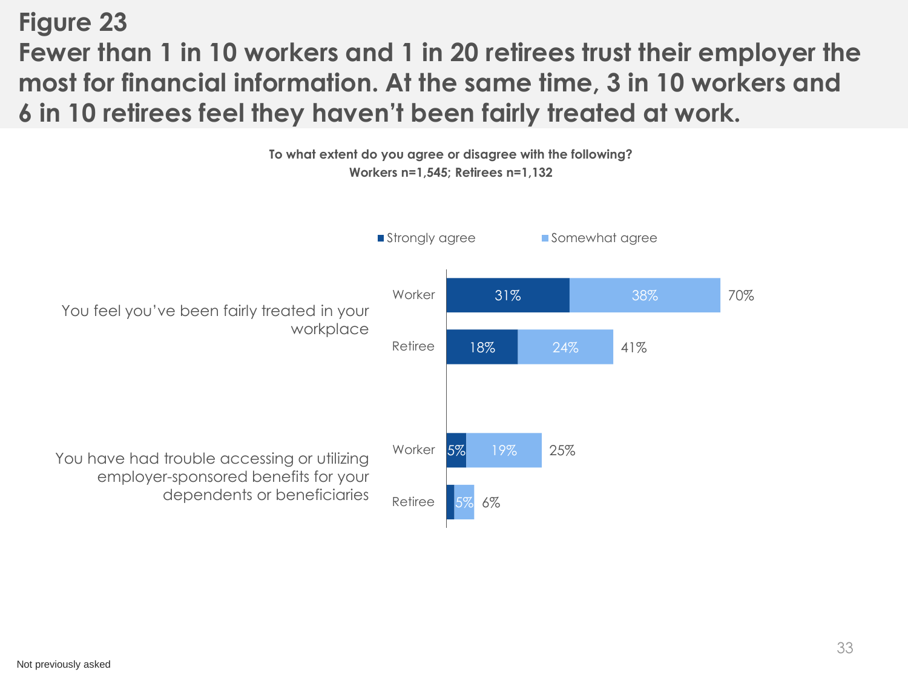## **Figure 23 Fewer than 1 in 10 workers and 1 in 20 retirees trust their employer the most for financial information. At the same time, 3 in 10 workers and 6 in 10 retirees feel they haven't been fairly treated at work.**

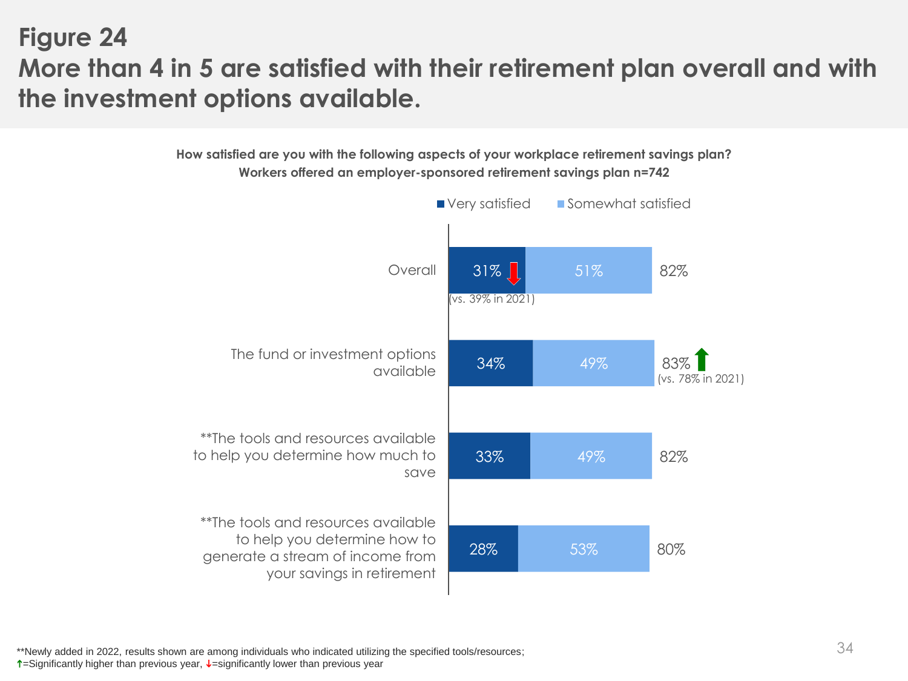## **Figure 24 More than 4 in 5 are satisfied with their retirement plan overall and with the investment options available.**

**How satisfied are you with the following aspects of your workplace retirement savings plan? Workers offered an employer-sponsored retirement savings plan n=742**

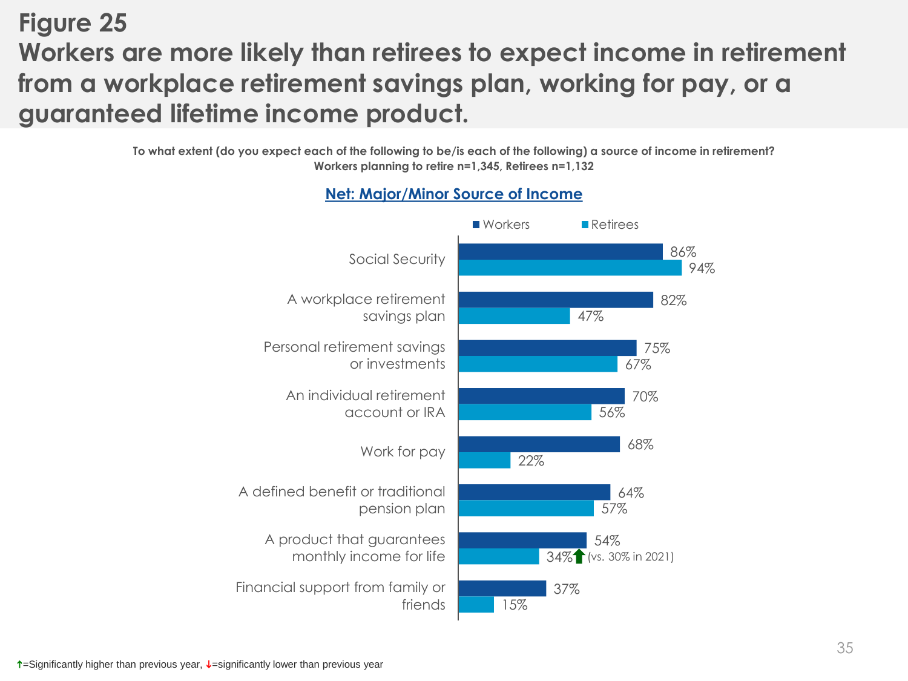## **Figure 25 Workers are more likely than retirees to expect income in retirement from a workplace retirement savings plan, working for pay, or a guaranteed lifetime income product.**

**To what extent (do you expect each of the following to be/is each of the following) a source of income in retirement? Workers planning to retire n=1,345, Retirees n=1,132**



### **Net: Major/Minor Source of Income**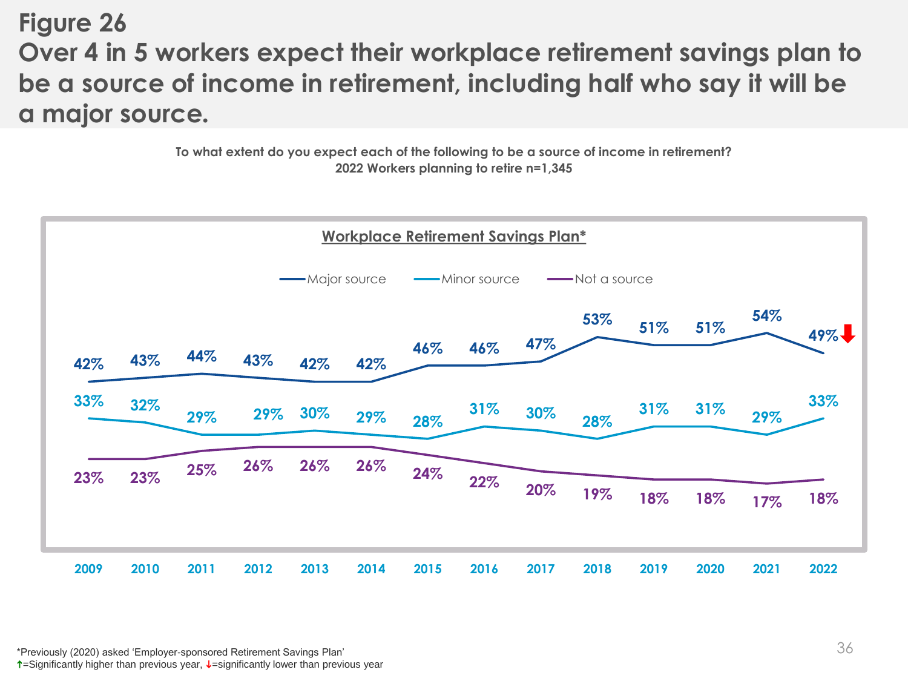**Figure 26 Over 4 in 5 workers expect their workplace retirement savings plan to be a source of income in retirement, including half who say it will be a major source***.*

> **To what extent do you expect each of the following to be a source of income in retirement? 2022 Workers planning to retire n=1,345**

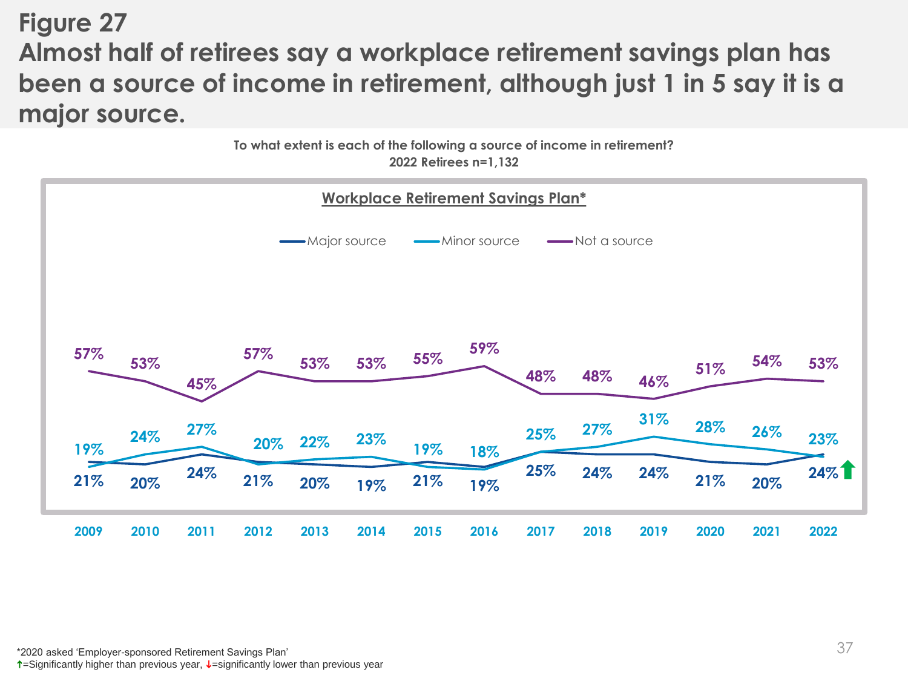## **Figure 27 Almost half of retirees say a workplace retirement savings plan has been a source of income in retirement, although just 1 in 5 say it is a major source.**



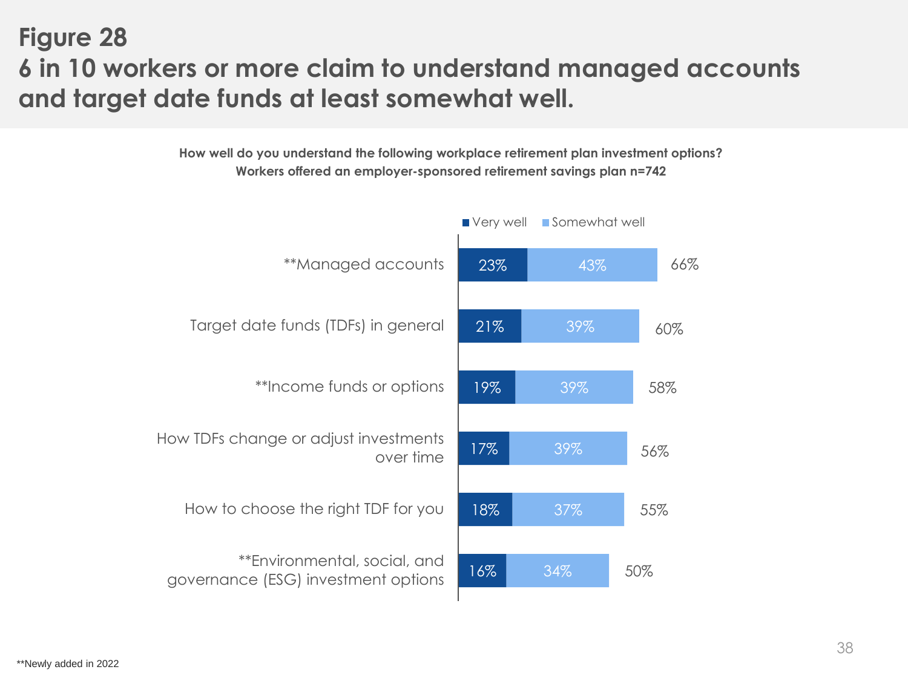## **Figure 28 6 in 10 workers or more claim to understand managed accounts and target date funds at least somewhat well.**

**How well do you understand the following workplace retirement plan investment options? Workers offered an employer-sponsored retirement savings plan n=742**

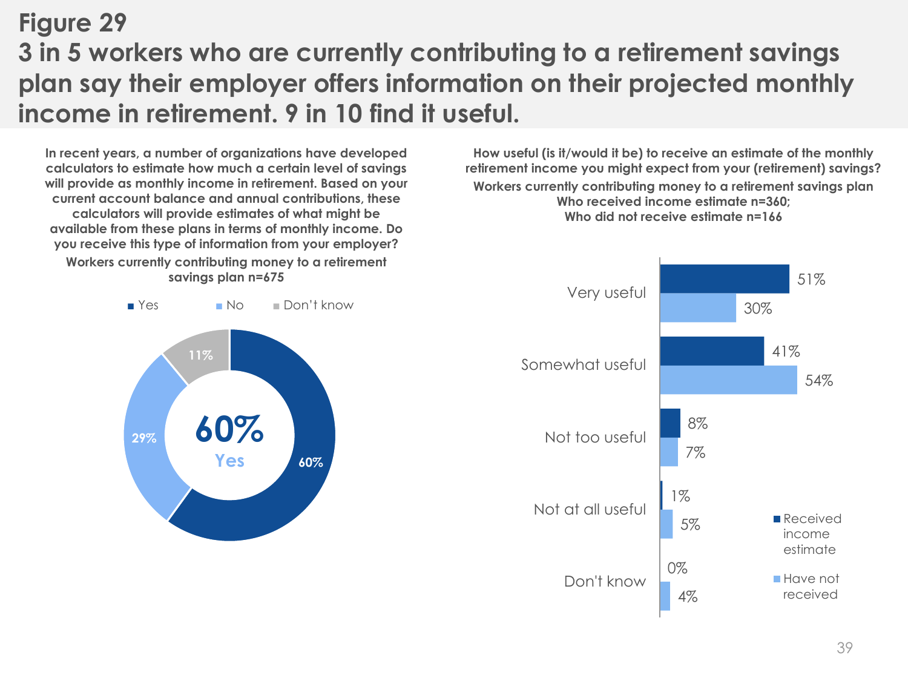# **Figure 29 3 in 5 workers who are currently contributing to a retirement savings plan say their employer offers information on their projected monthly income in retirement. 9 in 10 find it useful.**

**In recent years, a number of organizations have developed calculators to estimate how much a certain level of savings will provide as monthly income in retirement. Based on your current account balance and annual contributions, these calculators will provide estimates of what might be available from these plans in terms of monthly income. Do you receive this type of information from your employer? Workers currently contributing money to a retirement savings plan n=675**



**How useful (is it/would it be) to receive an estimate of the monthly retirement income you might expect from your (retirement) savings? Workers currently contributing money to a retirement savings plan Who received income estimate n=360; Who did not receive estimate n=166**

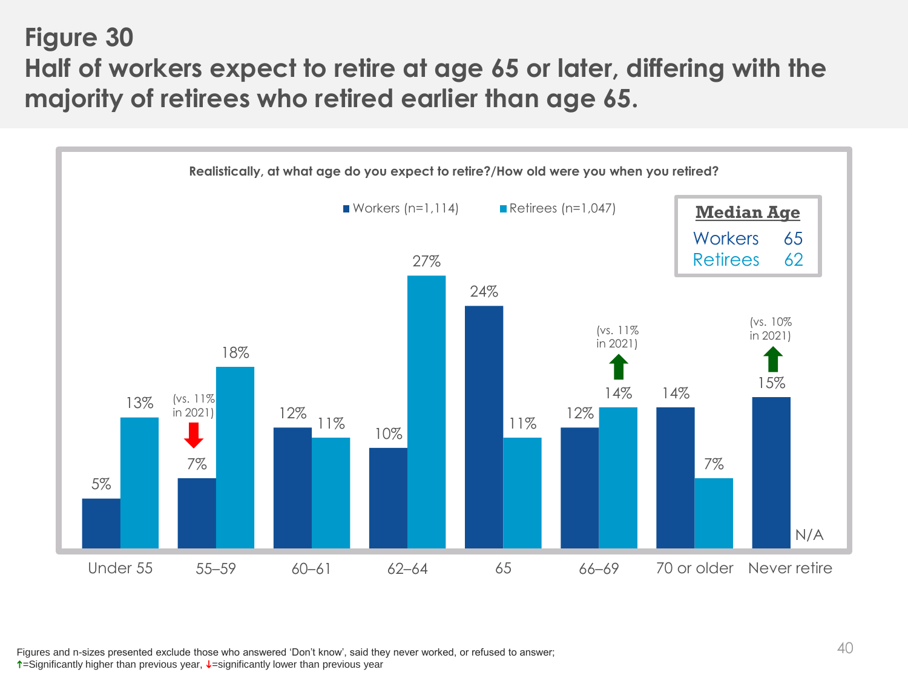**Figure 30 Half of workers expect to retire at age 65 or later, differing with the majority of retirees who retired earlier than age 65.**



Figures and n-sizes presented exclude those who answered 'Don't know', said they never worked, or refused to answer;  $\uparrow$ =Significantly higher than previous year,  $\downarrow$ =significantly lower than previous year

40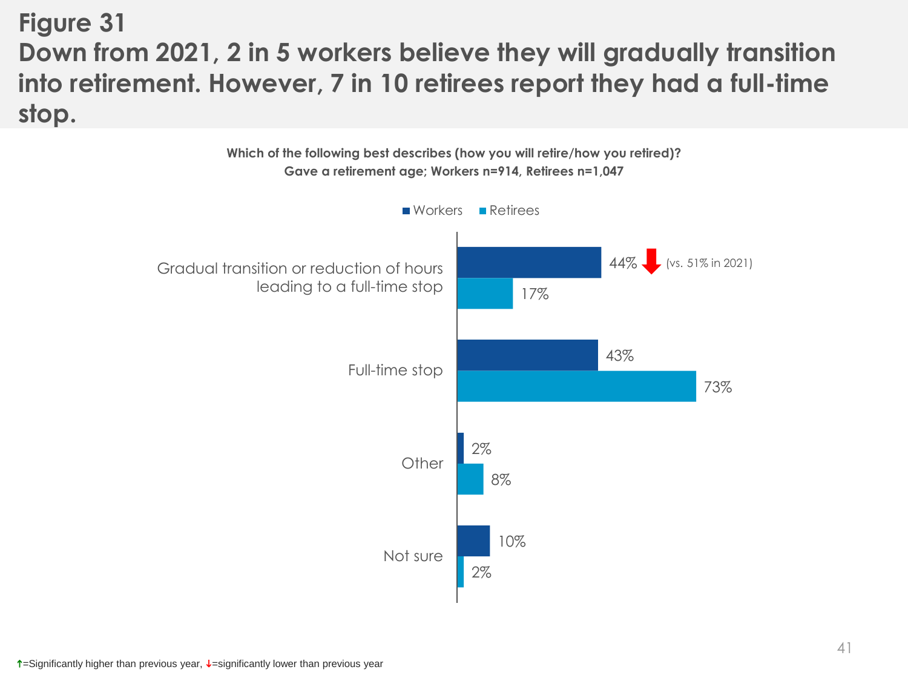## **Figure 31 Down from 2021, 2 in 5 workers believe they will gradually transition into retirement. However, 7 in 10 retirees report they had a full-time stop.**

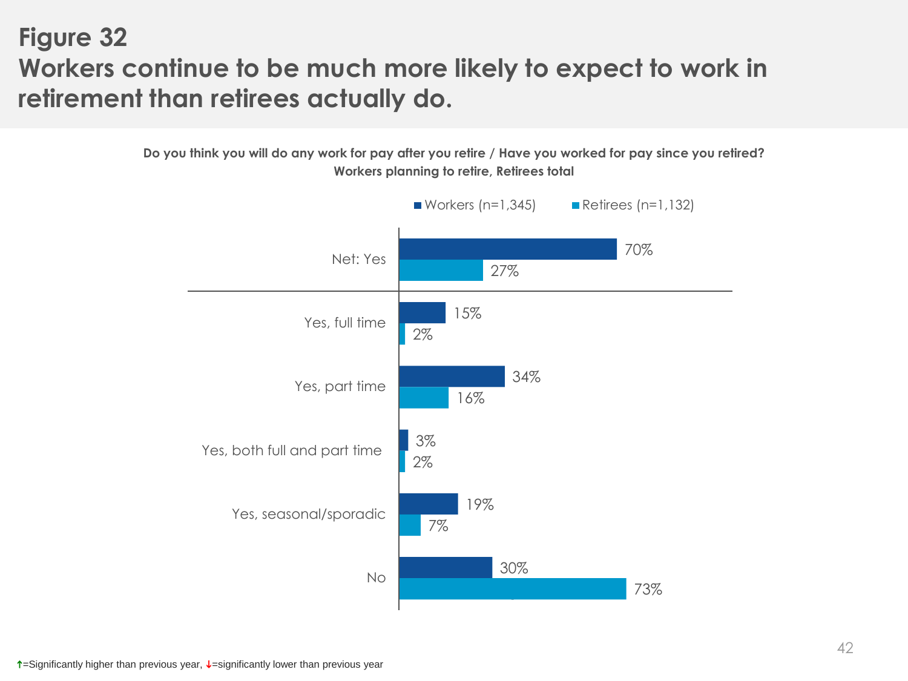## **Figure 32 Workers continue to be much more likely to expect to work in retirement than retirees actually do.**

**Do you think you will do any work for pay after you retire / Have you worked for pay since you retired? Workers planning to retire, Retirees total**

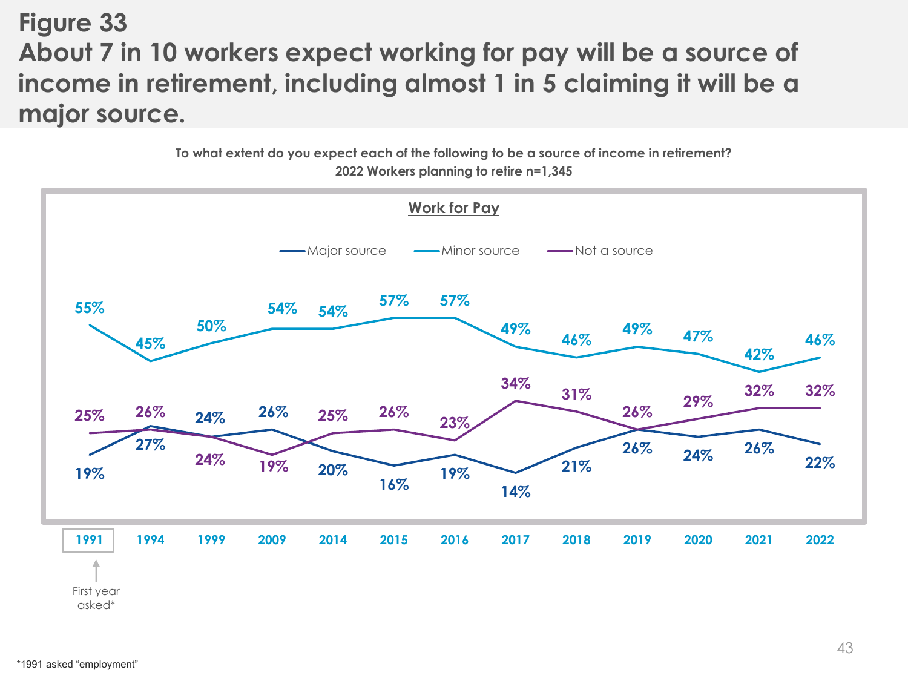**Figure 33 About 7 in 10 workers expect working for pay will be a source of income in retirement, including almost 1 in 5 claiming it will be a major source.** 

> **To what extent do you expect each of the following to be a source of income in retirement? 2022 Workers planning to retire n=1,345**

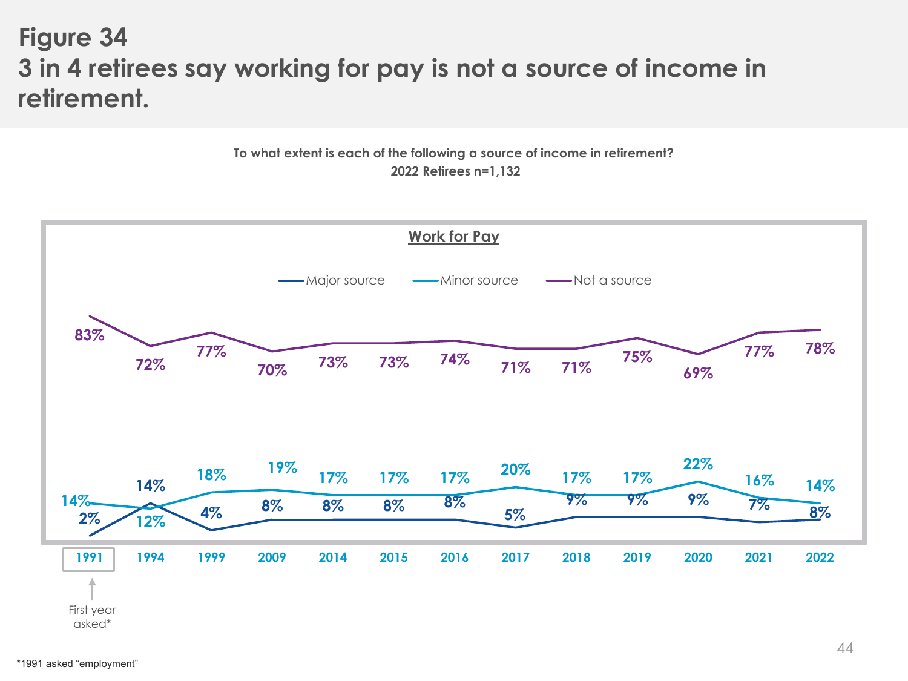## **Figure 34 3 in 4 retirees say working for pay is not a source of income in retirement.**



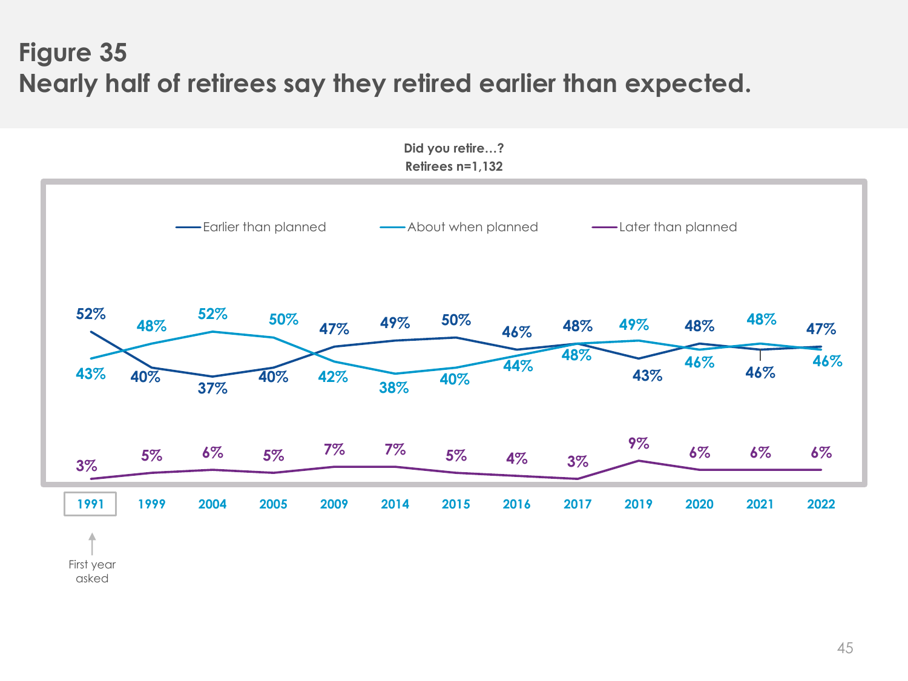# **Figure 35 Nearly half of retirees say they retired earlier than expected.**



First year asked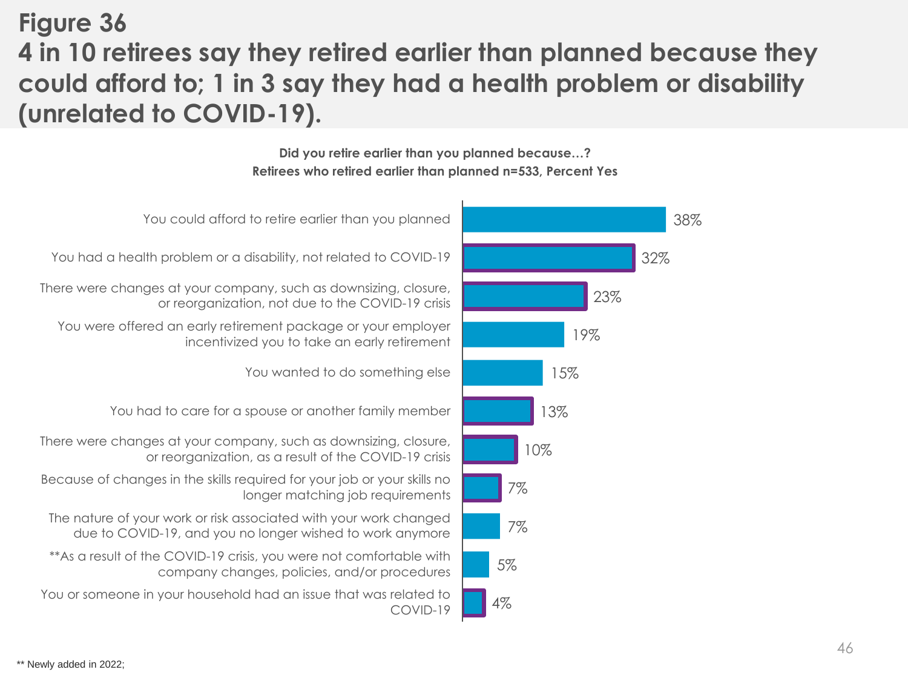**Figure 36**

# **4 in 10 retirees say they retired earlier than planned because they could afford to; 1 in 3 say they had a health problem or disability (unrelated to COVID-19).**

**Did you retire earlier than you planned because…? Retirees who retired earlier than planned n=533, Percent Yes**

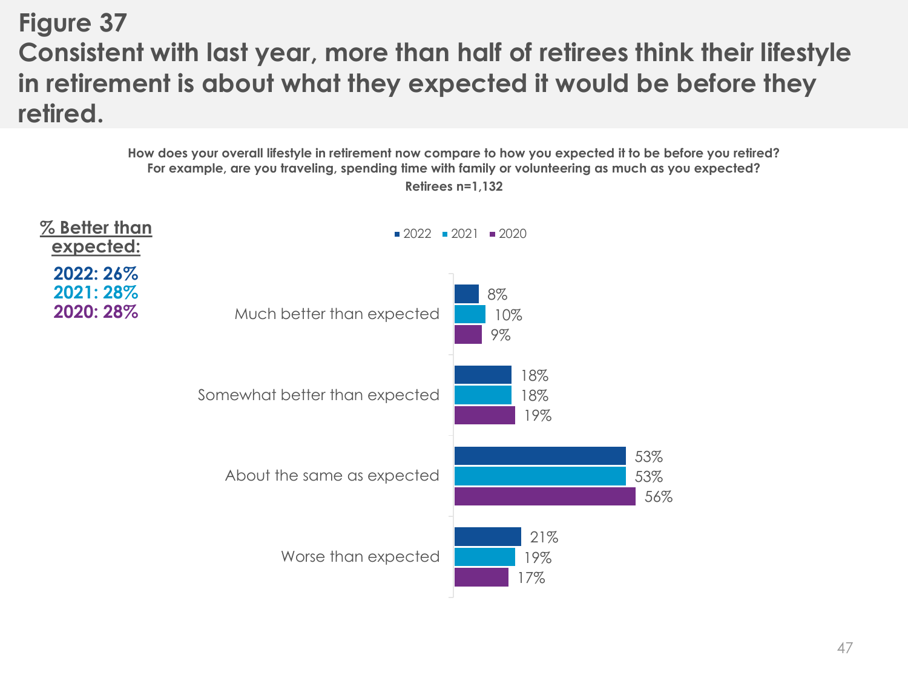## **Figure 37 Consistent with last year, more than half of retirees think their lifestyle in retirement is about what they expected it would be before they retired.**

**How does your overall lifestyle in retirement now compare to how you expected it to be before you retired? For example, are you traveling, spending time with family or volunteering as much as you expected? Retirees n=1,132**

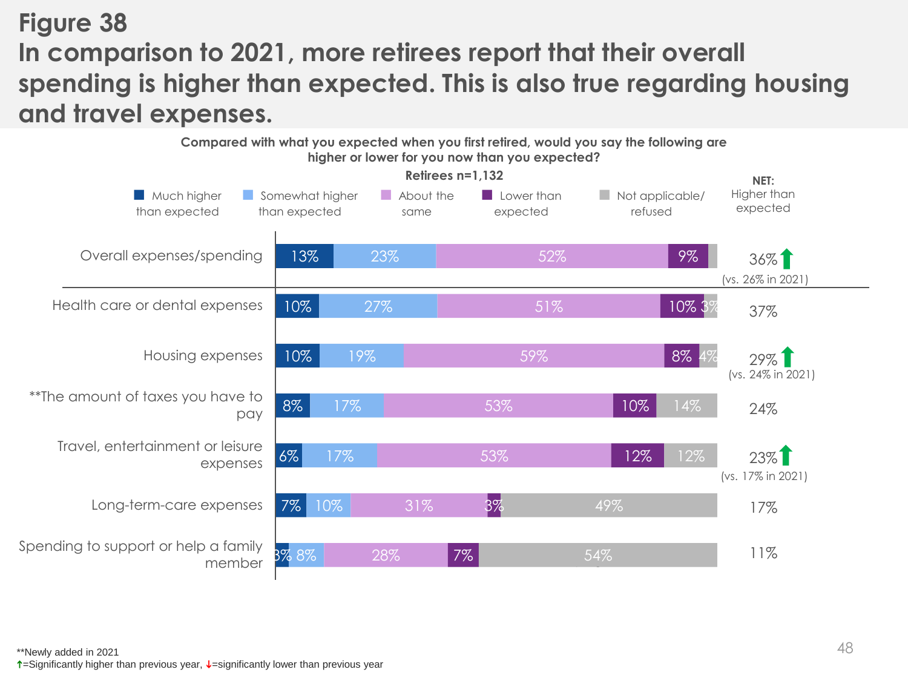# **Figure 38 In comparison to 2021, more retirees report that their overall spending is higher than expected. This is also true regarding housing and travel expenses.**

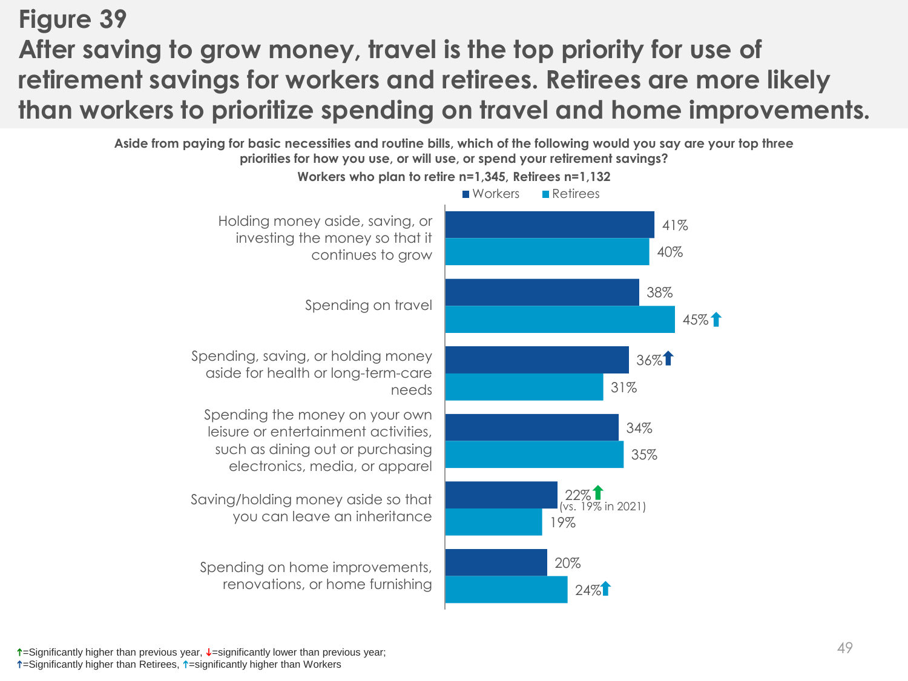# **Figure 39 After saving to grow money, travel is the top priority for use of retirement savings for workers and retirees. Retirees are more likely than workers to prioritize spending on travel and home improvements.**

**Aside from paying for basic necessities and routine bills, which of the following would you say are your top three priorities for how you use, or will use, or spend your retirement savings?**



 $\uparrow$ =Significantly higher than previous year,  $\downarrow$ =significantly lower than previous year;

 $\uparrow$ =Significantly higher than Retirees,  $\uparrow$ =significantly higher than Workers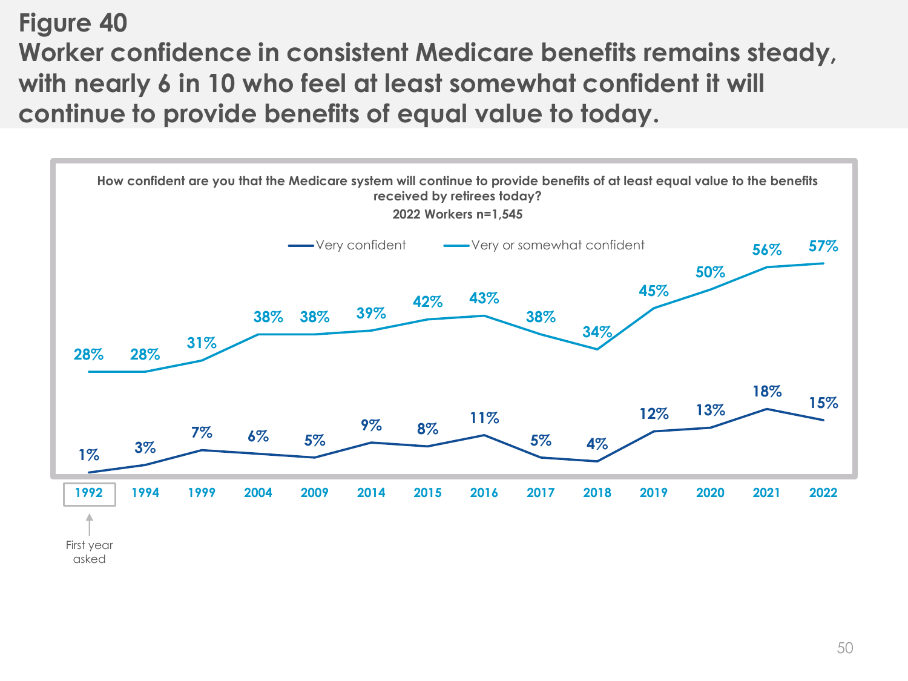**Figure 40 Worker confidence in consistent Medicare benefits remains steady, with nearly 6 in 10 who feel at least somewhat confident it will continue to provide benefits of equal value to today.**

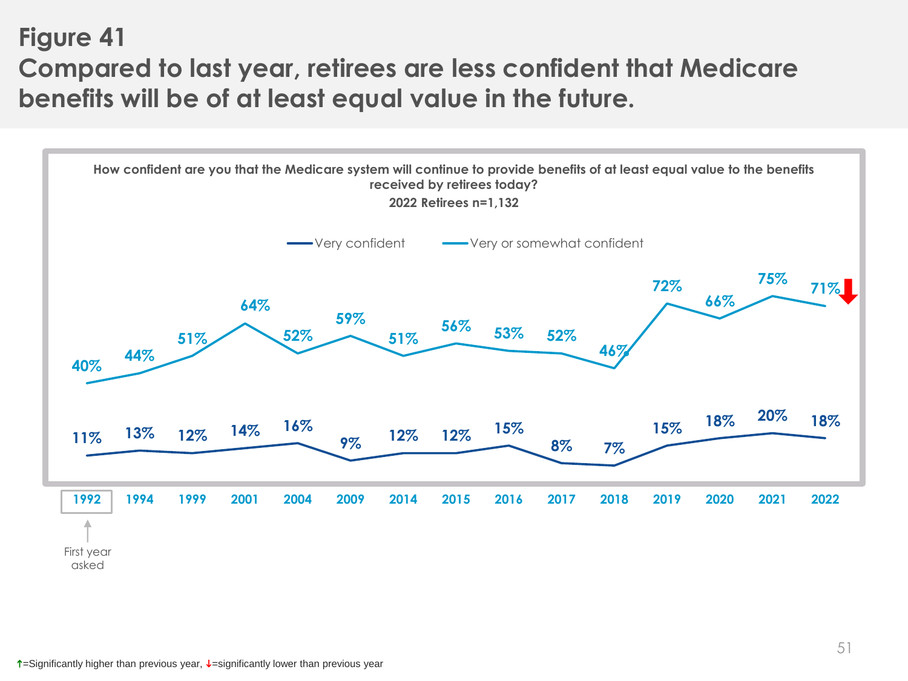## **Figure 41 Compared to last year, retirees are less confident that Medicare benefits will be of at least equal value in the future.**

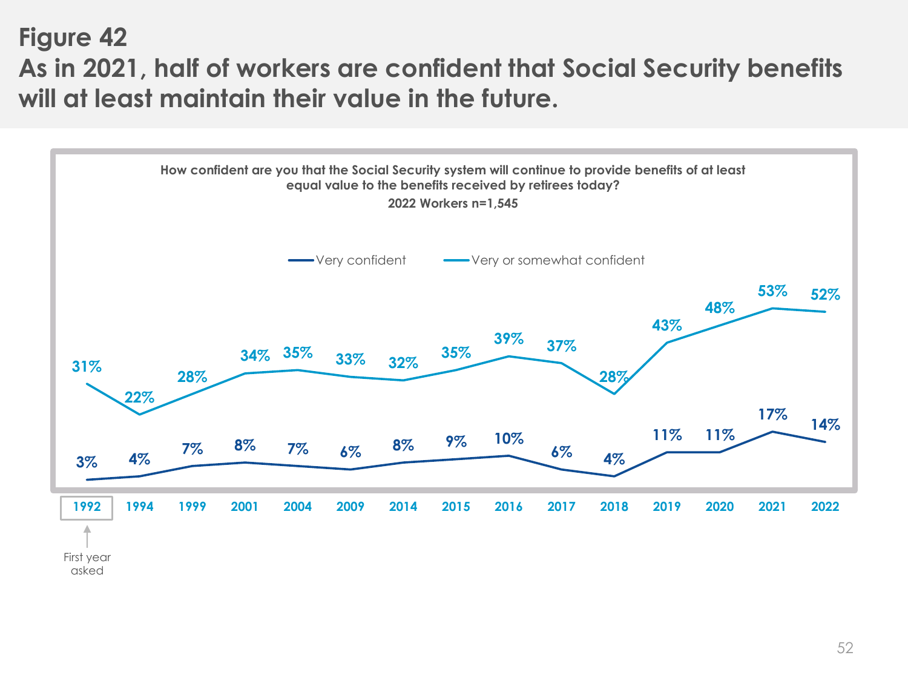## **Figure 42 As in 2021, half of workers are confident that Social Security benefits will at least maintain their value in the future.**